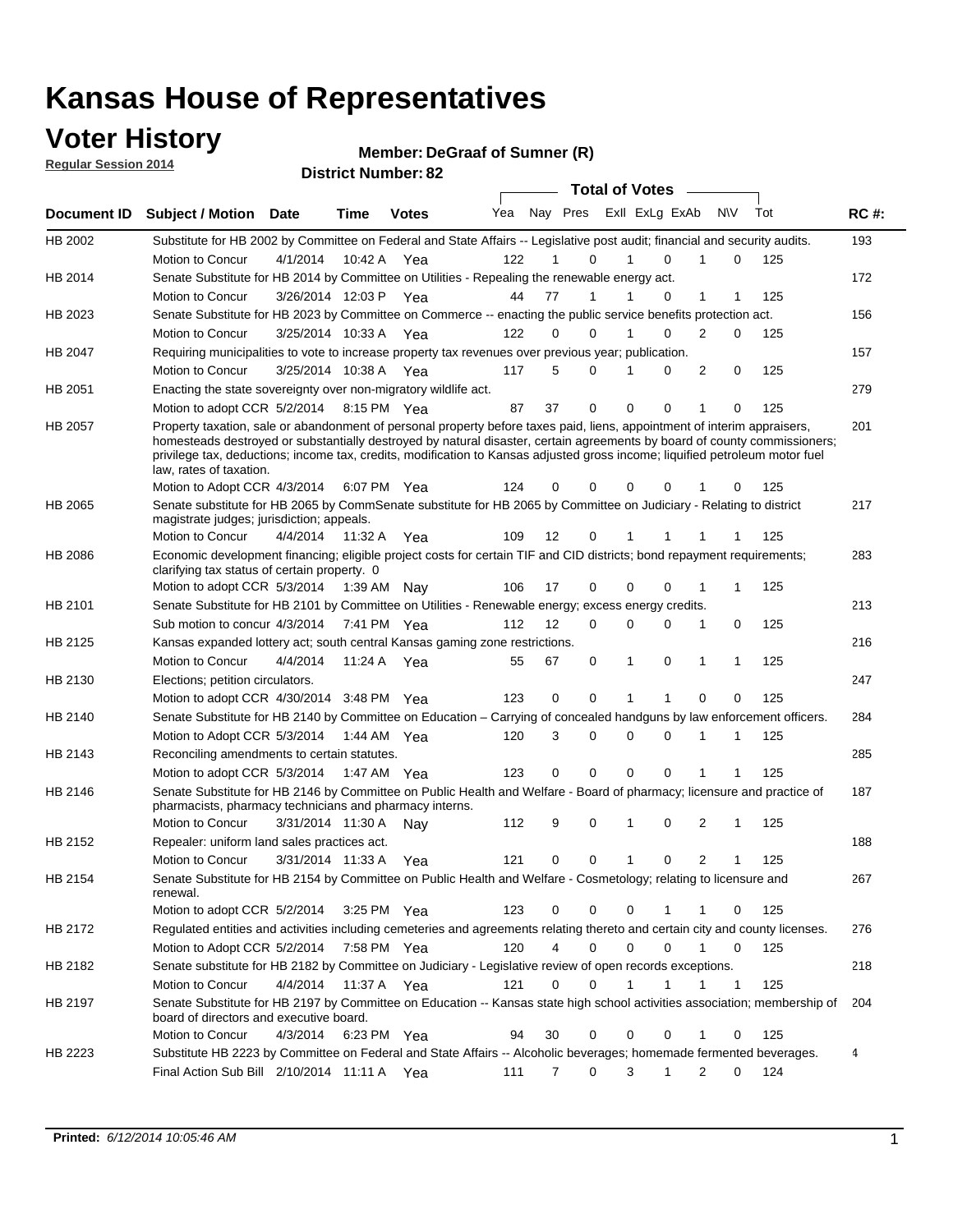### **Voter History**

**Regular Session 2014**

#### **DeGraaf of Sumner (R)**

|             |                                                                                                                                                                                                                                                                                                                                                                                                                  |                       | <b>IVE ITUILINGE.</b> |              |     |    |                         | <b>Total of Votes</b> |             |                |              |     |             |
|-------------|------------------------------------------------------------------------------------------------------------------------------------------------------------------------------------------------------------------------------------------------------------------------------------------------------------------------------------------------------------------------------------------------------------------|-----------------------|-----------------------|--------------|-----|----|-------------------------|-----------------------|-------------|----------------|--------------|-----|-------------|
| Document ID | <b>Subject / Motion Date</b>                                                                                                                                                                                                                                                                                                                                                                                     |                       | <b>Time</b>           | <b>Votes</b> | Yea |    | Nay Pres Exll ExLg ExAb |                       |             | N\V            |              | Tot | <b>RC#:</b> |
| HB 2002     | Substitute for HB 2002 by Committee on Federal and State Affairs -- Legislative post audit; financial and security audits.                                                                                                                                                                                                                                                                                       |                       |                       |              |     |    |                         |                       |             |                |              |     | 193         |
|             | Motion to Concur                                                                                                                                                                                                                                                                                                                                                                                                 | 4/1/2014              | 10:42 A               | Yea          | 122 | 1  | $\Omega$                |                       | $\Omega$    | 1              | 0            | 125 |             |
| HB 2014     | Senate Substitute for HB 2014 by Committee on Utilities - Repealing the renewable energy act.                                                                                                                                                                                                                                                                                                                    |                       |                       |              |     |    |                         |                       |             |                |              |     | 172         |
|             | Motion to Concur                                                                                                                                                                                                                                                                                                                                                                                                 | 3/26/2014 12:03 P Yea |                       |              | 44  | 77 | 1                       | 1                     | $\Omega$    | 1              |              | 125 |             |
| HB 2023     | Senate Substitute for HB 2023 by Committee on Commerce -- enacting the public service benefits protection act.                                                                                                                                                                                                                                                                                                   |                       |                       |              |     |    |                         |                       |             |                |              |     | 156         |
|             | Motion to Concur                                                                                                                                                                                                                                                                                                                                                                                                 | 3/25/2014 10:33 A Yea |                       |              | 122 | 0  | $\Omega$                |                       | $\Omega$    | $\overline{2}$ | $\Omega$     | 125 |             |
| HB 2047     | Requiring municipalities to vote to increase property tax revenues over previous year; publication.                                                                                                                                                                                                                                                                                                              |                       |                       |              |     |    |                         |                       |             |                |              |     | 157         |
|             | Motion to Concur                                                                                                                                                                                                                                                                                                                                                                                                 | 3/25/2014 10:38 A Yea |                       |              | 117 | 5  | $\Omega$                | 1                     | 0           | 2              | 0            | 125 |             |
| HB 2051     | Enacting the state sovereignty over non-migratory wildlife act.                                                                                                                                                                                                                                                                                                                                                  |                       |                       |              |     |    |                         |                       |             |                |              |     | 279         |
|             | Motion to adopt CCR 5/2/2014 8:15 PM Yea                                                                                                                                                                                                                                                                                                                                                                         |                       |                       |              | 87  | 37 | $\Omega$                | $\Omega$              | $\Omega$    | 1              | 0            | 125 |             |
| HB 2057     | Property taxation, sale or abandonment of personal property before taxes paid, liens, appointment of interim appraisers,<br>homesteads destroyed or substantially destroyed by natural disaster, certain agreements by board of county commissioners;<br>privilege tax, deductions; income tax, credits, modification to Kansas adjusted gross income; liquified petroleum motor fuel<br>law, rates of taxation. |                       |                       |              |     |    |                         |                       |             |                |              |     | 201         |
|             | Motion to Adopt CCR 4/3/2014                                                                                                                                                                                                                                                                                                                                                                                     |                       |                       | 6:07 PM Yea  | 124 | 0  | 0                       | 0                     | 0           |                | 0            | 125 |             |
| HB 2065     | Senate substitute for HB 2065 by CommSenate substitute for HB 2065 by Committee on Judiciary - Relating to district<br>magistrate judges; jurisdiction; appeals.                                                                                                                                                                                                                                                 |                       |                       |              |     |    |                         |                       |             |                |              |     | 217         |
|             | Motion to Concur                                                                                                                                                                                                                                                                                                                                                                                                 | 4/4/2014              | 11:32 A               | Yea          | 109 | 12 | 0                       | 1                     | 1           |                |              | 125 |             |
| HB 2086     | Economic development financing; eligible project costs for certain TIF and CID districts; bond repayment requirements;<br>clarifying tax status of certain property. 0                                                                                                                                                                                                                                           |                       |                       |              |     |    |                         |                       |             |                |              |     | 283         |
|             | Motion to adopt CCR 5/3/2014 1:39 AM Nay                                                                                                                                                                                                                                                                                                                                                                         |                       |                       |              | 106 | 17 | 0                       | $\Omega$              | 0           | 1              | 1            | 125 |             |
| HB 2101     | Senate Substitute for HB 2101 by Committee on Utilities - Renewable energy; excess energy credits.                                                                                                                                                                                                                                                                                                               |                       |                       |              |     |    |                         |                       |             |                |              |     | 213         |
|             | Sub motion to concur 4/3/2014                                                                                                                                                                                                                                                                                                                                                                                    |                       |                       | 7:41 PM Yea  | 112 | 12 | 0                       | $\mathbf 0$           | $\mathbf 0$ | 1              | 0            | 125 |             |
| HB 2125     | Kansas expanded lottery act; south central Kansas gaming zone restrictions.                                                                                                                                                                                                                                                                                                                                      |                       |                       |              |     |    |                         |                       |             |                |              |     | 216         |
|             | Motion to Concur                                                                                                                                                                                                                                                                                                                                                                                                 | 4/4/2014              | 11:24 A               | Yea          | 55  | 67 | 0                       | 1                     | 0           | 1              | 1            | 125 |             |
| HB 2130     | Elections; petition circulators.                                                                                                                                                                                                                                                                                                                                                                                 |                       |                       |              |     |    |                         |                       |             |                |              |     | 247         |
|             | Motion to adopt CCR 4/30/2014 3:48 PM Yea                                                                                                                                                                                                                                                                                                                                                                        |                       |                       |              | 123 | 0  | 0                       | 1                     | 1           | $\Omega$       | 0            | 125 |             |
| HB 2140     | Senate Substitute for HB 2140 by Committee on Education – Carrying of concealed handguns by law enforcement officers.                                                                                                                                                                                                                                                                                            |                       |                       |              |     |    |                         |                       |             |                |              |     | 284         |
|             | Motion to Adopt CCR 5/3/2014 1:44 AM Yea                                                                                                                                                                                                                                                                                                                                                                         |                       |                       |              | 120 | 3  | 0                       | $\mathbf 0$           | $\mathbf 0$ | 1              | 1            | 125 |             |
| HB 2143     | Reconciling amendments to certain statutes.                                                                                                                                                                                                                                                                                                                                                                      |                       |                       |              |     |    |                         |                       |             |                |              |     | 285         |
|             | Motion to adopt CCR 5/3/2014 1:47 AM Yea                                                                                                                                                                                                                                                                                                                                                                         |                       |                       |              | 123 | 0  | 0                       | $\mathbf 0$           | $\mathbf 0$ |                |              | 125 |             |
| HB 2146     | Senate Substitute for HB 2146 by Committee on Public Health and Welfare - Board of pharmacy; licensure and practice of<br>pharmacists, pharmacy technicians and pharmacy interns.                                                                                                                                                                                                                                |                       |                       |              |     |    |                         |                       |             |                |              |     | 187         |
|             | Motion to Concur                                                                                                                                                                                                                                                                                                                                                                                                 | 3/31/2014 11:30 A     |                       | Nav          | 112 | 9  | 0                       | 1                     | $\mathbf 0$ | 2              | 1            | 125 |             |
| HB 2152     | Repealer: uniform land sales practices act.                                                                                                                                                                                                                                                                                                                                                                      |                       |                       |              |     |    |                         |                       |             |                |              |     | 188         |
|             | <b>Motion to Concur</b>                                                                                                                                                                                                                                                                                                                                                                                          | 3/31/2014 11:33 A     |                       | Yea          | 121 | 0  | 0                       | $\mathbf{1}$          | 0           | 2              | 1            | 125 |             |
| HB 2154     | Senate Substitute for HB 2154 by Committee on Public Health and Welfare - Cosmetology; relating to licensure and<br>renewal.                                                                                                                                                                                                                                                                                     |                       |                       |              |     |    |                         |                       |             |                |              |     | 267         |
|             | Motion to adopt CCR 5/2/2014                                                                                                                                                                                                                                                                                                                                                                                     |                       |                       | 3:25 PM Yea  | 123 | 0  | 0                       | $\mathbf 0$           |             |                | 0            | 125 |             |
| HB 2172     | Regulated entities and activities including cemeteries and agreements relating thereto and certain city and county licenses.                                                                                                                                                                                                                                                                                     |                       |                       |              |     |    |                         |                       |             |                |              |     | 276         |
|             | Motion to Adopt CCR 5/2/2014                                                                                                                                                                                                                                                                                                                                                                                     |                       |                       | 7:58 PM Yea  | 120 |    | 4<br>$\mathbf 0$        | $\mathbf 0$           | $\Omega$    | $\mathbf{1}$   | $\mathbf 0$  | 125 |             |
| HB 2182     | Senate substitute for HB 2182 by Committee on Judiciary - Legislative review of open records exceptions.                                                                                                                                                                                                                                                                                                         |                       |                       |              |     |    |                         |                       |             |                |              |     | 218         |
|             | Motion to Concur                                                                                                                                                                                                                                                                                                                                                                                                 | 4/4/2014 11:37 A Yea  |                       |              | 121 | 0  | 0                       | 1                     | 1           | 1              | $\mathbf{1}$ | 125 |             |
| HB 2197     | Senate Substitute for HB 2197 by Committee on Education -- Kansas state high school activities association; membership of<br>board of directors and executive board.                                                                                                                                                                                                                                             |                       |                       |              |     |    |                         |                       |             |                |              |     | 204         |
|             | Motion to Concur                                                                                                                                                                                                                                                                                                                                                                                                 | 4/3/2014              |                       | 6:23 PM Yea  | 94  | 30 | 0                       | 0                     | 0           | 1              | 0            | 125 |             |
| HB 2223     | Substitute HB 2223 by Committee on Federal and State Affairs -- Alcoholic beverages; homemade fermented beverages.                                                                                                                                                                                                                                                                                               |                       |                       |              |     |    |                         |                       |             |                |              |     | 4           |
|             | Final Action Sub Bill 2/10/2014 11:11 A Yea                                                                                                                                                                                                                                                                                                                                                                      |                       |                       |              | 111 | 7  | 0                       | 3                     | 1           | 2              | 0            | 124 |             |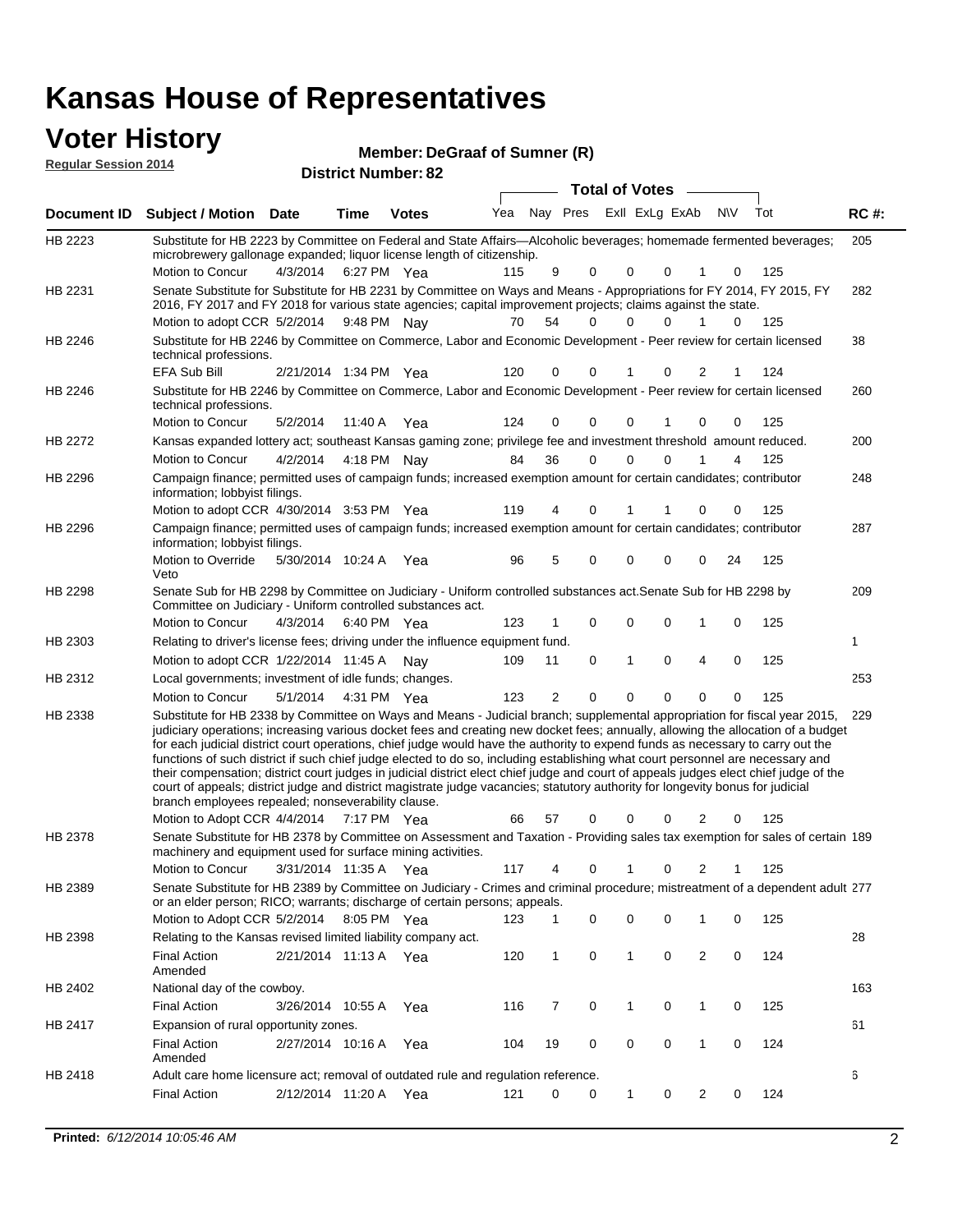### **Voter History**

| TVIVI THUIVI Y<br><b>Reqular Session 2014</b> |                                                                                                                                                                                               |          |             | Member: DeGraaf of Sumner (R)<br><b>District Number: 82</b> |     |     |      |                       |                |     |      |             |
|-----------------------------------------------|-----------------------------------------------------------------------------------------------------------------------------------------------------------------------------------------------|----------|-------------|-------------------------------------------------------------|-----|-----|------|-----------------------|----------------|-----|------|-------------|
|                                               |                                                                                                                                                                                               |          |             |                                                             |     |     |      | <b>Total of Votes</b> |                |     |      |             |
| Document ID                                   | <b>Subject / Motion Date</b>                                                                                                                                                                  |          | Time        | <b>Votes</b>                                                | Yea | Nav | Pres |                       | ExII ExLg ExAb | N\V | Tot  | <b>RC#:</b> |
| HB 2223                                       | Substitute for HB 2223 by Committee on Federal and State Affairs—Alcoholic beverages; homemade fermented beverages;<br>microbrewery gallonage expanded; liquor license length of citizenship. |          |             |                                                             |     |     |      |                       |                |     |      | 205         |
|                                               | Motion to Concur                                                                                                                                                                              | 4/3/2014 | 6:27 PM Yea |                                                             | 115 | 9   | - 0  | $\Omega$              |                |     | -125 |             |
| HB 2231                                       | Senate Substitute for Substitute for HB 2231 by Committee on Ways and Means - Appropriations for FY 2014, FY 2015, FY                                                                         |          |             |                                                             |     |     |      |                       |                |     |      | 282         |

282 Motion to adopt CCR 5/2/2014 9:48 PM Nay 170 54 0 0 0 1 0 125 for FY 2014, FY 2015, FY 2016, FY 2017 and FY 2018 for various state agencies; capital improvement projects; claims against the state. 38 2/21/2014 EFA Sub Bill Yea 124 1:34 PM 120 0 0 0 21 1 HB 2246 Substitute for HB 2246 by Committee on Commerce, Labor and Economic Development - Peer review for certain licensed technical professions. 260 5/2/2014 HB 2246 Motion to Concur Yea 125 11:40 A 124 0 1 0 00 0 Substitute for HB 2246 by Committee on Commerce, Labor and Economic Development - Peer review for certain licensed technical professions. 200 4/2/2014 HB 2272 Motion to Concur 4/2/2014 4:18 PM Nay 84 36 0 0 0 1 4 125 Kansas expanded lottery act; southeast Kansas gaming zone; privilege fee and investment threshold amount reduced. 4:18 PM Nav 248 4/30/2014 Motion to adopt CCR Yea 125 3:53 PM 119 4 1 0 00 1 HB 2296 Campaign finance; permitted uses of campaign funds; increased exemption amount for certain candidates; contributor information; lobbyist filings. 287 Motion to Override 5/30/2014 10:24 A Yea 96 5 0 0 0 0 24 125 HB 2296 Veto Campaign finance; permitted uses of campaign funds; increased exemption amount for certain candidates; contributor information; lobbyist filings. 209 4/3/2014 HB 2298 Motion to Concur 4/3/2014 6:40 PM Yea 123 1 0 0 0 1 0 125 Senate Sub for HB 2298 by Committee on Judiciary - Uniform controlled substances act.Senate Sub for HB 2298 by Committee on Judiciary - Uniform controlled substances act. 6:40 PM Yea 1 Motion to adopt CCR 1/22/2014 11:45 A Nay 109 11 0 1 0 4 0 125 HB 2303 Relating to driver's license fees; driving under the influence equipment fund. 253 5/1/2014 HB 2312 Motion to Concur Yea 125 4:31 PM 123 2 0 0 00 0 Local governments; investment of idle funds; changes. Substitute for HB 2338 by Committee on Ways and Means - Judicial branch; supplemental appropriation for fiscal year 2015, 229 Motion to Adopt CCR 4/4/2014 7:17 PM Yea 66 57 0 0 0 2 0 125 HB 2338 judiciary operations; increasing various docket fees and creating new docket fees; annually, allowing the allocation of a budget for each judicial district court operations, chief judge would have the authority to expend funds as necessary to carry out the functions of such district if such chief judge elected to do so, including establishing what court personnel are necessary and their compensation; district court judges in judicial district elect chief judge and court of appeals judges elect chief judge of the court of appeals; district judge and district magistrate judge vacancies; statutory authority for longevity bonus for judicial branch employees repealed; nonseverability clause. 7:17 PM Yea 66 57 0 0 0 2 0 Senate Substitute for HB 2378 by Committee on Assessment and Taxation - Providing sales tax exemption for sales of certain 189 3/31/2014 Motion to Concur Yea 125 11:35 A 117 4 0 0 21 1 HB 2378 machinery and equipment used for surface mining activities. Senate Substitute for HB 2389 by Committee on Judiciary - Crimes and criminal procedure; mistreatment of a dependent adult 277 Motion to Adopt CCR 5/2/2014 8:05 PM Yea 123 1 0 0 0 1 0 125 HB 2389 or an elder person; RICO; warrants; discharge of certain persons; appeals. 28 2/21/2014 Final Action Yea 124 11:13 A 120 1 0 0 20 1 HB 2398 Amended Relating to the Kansas revised limited liability company act. 163 Final Action 3/26/2014 10:55 A Yea 116 7 0 1 0 125 HB 2402 National day of the cowboy. 10:55 A 116 7 0 0 10 1 61 2/27/2014 Final Action Yea 124 10:16 A 104 19 0 0 10 0 HB 2417 Amended Expansion of rural opportunity zones. 6 2/12/2014 Final Action Yea 124 11:20 A 121 0 0 0 20 1 HB 2418 Adult care home licensure act; removal of outdated rule and regulation reference.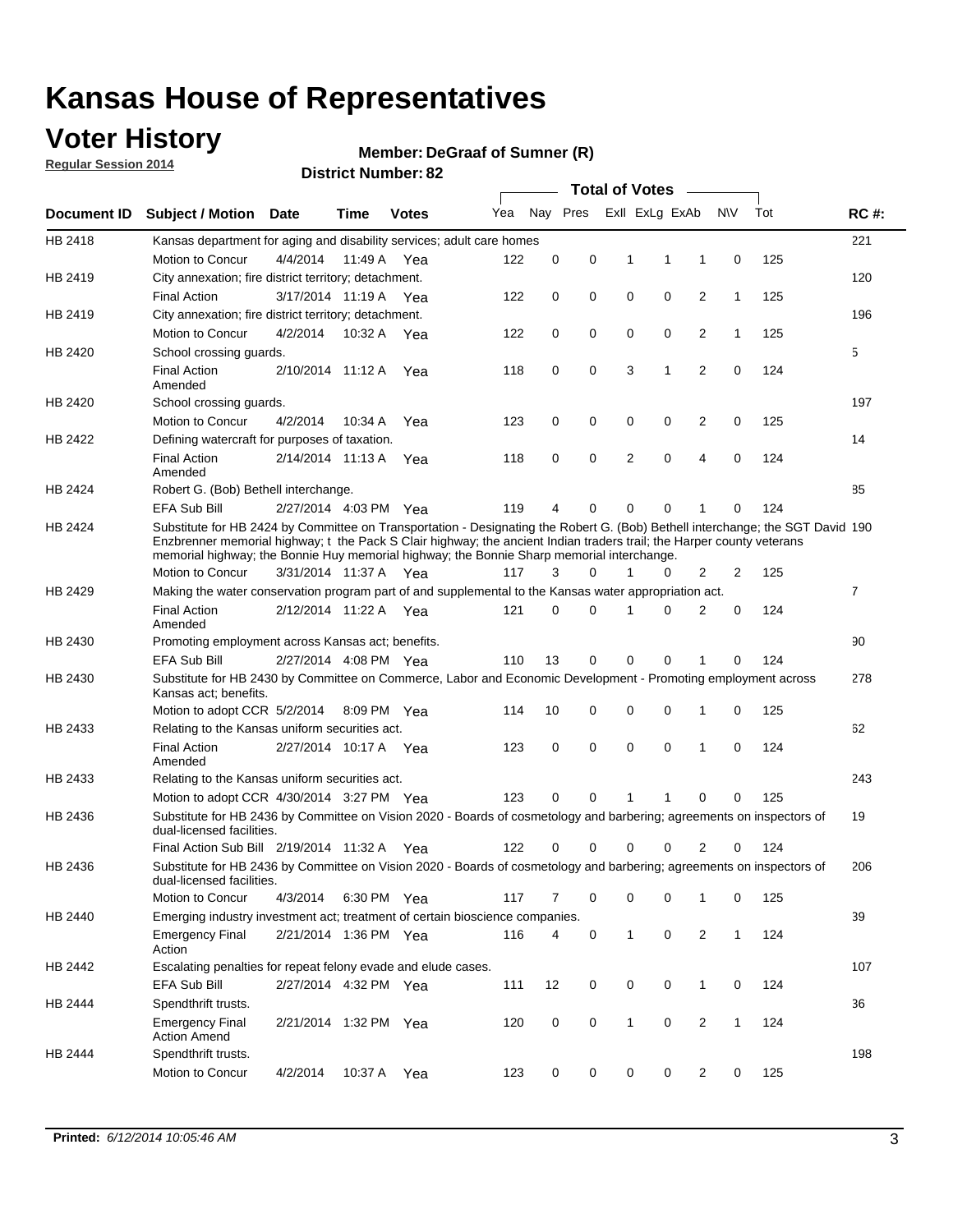### **Voter History**

**Regular Session 2014**

#### **Member: DeGraaf of Sumner (R)**

|                    |                                                                                                                                                                                                                                                                                                                                                      |                       |             | DISTRICT MAILING TO DE |     |          |          |              | Total of Votes –        |                |              |     |                |
|--------------------|------------------------------------------------------------------------------------------------------------------------------------------------------------------------------------------------------------------------------------------------------------------------------------------------------------------------------------------------------|-----------------------|-------------|------------------------|-----|----------|----------|--------------|-------------------------|----------------|--------------|-----|----------------|
| <b>Document ID</b> | <b>Subject / Motion</b>                                                                                                                                                                                                                                                                                                                              | Date                  | Time        | <b>Votes</b>           | Yea |          |          |              | Nay Pres ExII ExLg ExAb |                | <b>NV</b>    | Tot | <b>RC#:</b>    |
| HB 2418            | Kansas department for aging and disability services; adult care homes                                                                                                                                                                                                                                                                                |                       |             |                        |     |          |          |              |                         |                |              |     | 221            |
|                    | Motion to Concur                                                                                                                                                                                                                                                                                                                                     | 4/4/2014              | 11:49 A     | Yea                    | 122 | 0        | 0        | 1            | 1                       | 1              | 0            | 125 |                |
| HB 2419            | City annexation; fire district territory; detachment.                                                                                                                                                                                                                                                                                                |                       |             |                        |     |          |          |              |                         |                |              |     | 120            |
|                    | <b>Final Action</b>                                                                                                                                                                                                                                                                                                                                  | 3/17/2014 11:19 A     |             | Yea                    | 122 | 0        | 0        | 0            | 0                       | 2              | 1            | 125 |                |
| HB 2419            | City annexation; fire district territory; detachment.                                                                                                                                                                                                                                                                                                |                       |             |                        |     |          |          |              |                         |                |              |     | 196            |
|                    | Motion to Concur                                                                                                                                                                                                                                                                                                                                     | 4/2/2014              | 10:32 A     | Yea                    | 122 | 0        | 0        | 0            | 0                       | 2              | $\mathbf{1}$ | 125 |                |
| HB 2420            | School crossing guards.                                                                                                                                                                                                                                                                                                                              |                       |             |                        |     |          |          |              |                         |                |              |     | 5              |
|                    | <b>Final Action</b><br>Amended                                                                                                                                                                                                                                                                                                                       | 2/10/2014 11:12 A     |             | Yea                    | 118 | 0        | 0        | 3            | 1                       | $\overline{2}$ | 0            | 124 |                |
| HB 2420            | School crossing guards.                                                                                                                                                                                                                                                                                                                              |                       |             |                        |     |          |          |              |                         |                |              |     | 197            |
|                    | Motion to Concur                                                                                                                                                                                                                                                                                                                                     | 4/2/2014              | 10:34 A     | Yea                    | 123 | 0        | 0        | 0            | 0                       | 2              | 0            | 125 |                |
| HB 2422            | Defining watercraft for purposes of taxation.                                                                                                                                                                                                                                                                                                        |                       |             |                        |     |          |          |              |                         |                |              |     | 14             |
|                    | <b>Final Action</b><br>Amended                                                                                                                                                                                                                                                                                                                       | 2/14/2014 11:13 A     |             | Yea                    | 118 | 0        | 0        | 2            | 0                       | 4              | 0            | 124 |                |
| HB 2424            | Robert G. (Bob) Bethell interchange.                                                                                                                                                                                                                                                                                                                 |                       |             |                        |     |          |          |              |                         |                |              |     | 85             |
|                    | EFA Sub Bill                                                                                                                                                                                                                                                                                                                                         | 2/27/2014 4:03 PM Yea |             |                        | 119 | 4        | 0        | 0            | 0                       | 1              | 0            | 124 |                |
| HB 2424            | Substitute for HB 2424 by Committee on Transportation - Designating the Robert G. (Bob) Bethell interchange; the SGT David 190<br>Enzbrenner memorial highway; t the Pack S Clair highway; the ancient Indian traders trail; the Harper county veterans<br>memorial highway; the Bonnie Huy memorial highway; the Bonnie Sharp memorial interchange. |                       |             |                        |     |          |          |              |                         |                |              |     |                |
|                    | Motion to Concur                                                                                                                                                                                                                                                                                                                                     | 3/31/2014 11:37 A Yea |             |                        | 117 | 3        | $\Omega$ | 1            | 0                       | 2              | 2            | 125 |                |
| HB 2429            | Making the water conservation program part of and supplemental to the Kansas water appropriation act.                                                                                                                                                                                                                                                |                       |             |                        |     |          |          |              |                         |                |              |     | $\overline{7}$ |
|                    | <b>Final Action</b><br>Amended                                                                                                                                                                                                                                                                                                                       | 2/12/2014 11:22 A Yea |             |                        | 121 | $\Omega$ | 0        | 1            | 0                       | 2              | 0            | 124 |                |
| HB 2430            | Promoting employment across Kansas act; benefits.                                                                                                                                                                                                                                                                                                    |                       |             |                        |     |          |          |              |                         |                |              |     | 90             |
|                    | <b>EFA Sub Bill</b>                                                                                                                                                                                                                                                                                                                                  | 2/27/2014 4:08 PM Yea |             |                        | 110 | 13       | 0        | 0            | 0                       |                | 0            | 124 |                |
| HB 2430            | Substitute for HB 2430 by Committee on Commerce, Labor and Economic Development - Promoting employment across<br>Kansas act; benefits.                                                                                                                                                                                                               |                       |             |                        |     |          |          |              |                         |                |              |     | 278            |
|                    | Motion to adopt CCR 5/2/2014                                                                                                                                                                                                                                                                                                                         |                       | 8:09 PM Yea |                        | 114 | 10       | 0        | 0            | 0                       | 1              | 0            | 125 |                |
| HB 2433            | Relating to the Kansas uniform securities act.                                                                                                                                                                                                                                                                                                       |                       |             |                        |     |          |          |              |                         |                |              |     | 62             |
|                    | <b>Final Action</b><br>Amended                                                                                                                                                                                                                                                                                                                       | 2/27/2014 10:17 A Yea |             |                        | 123 | 0        | 0        | $\mathbf 0$  | 0                       | 1              | $\mathbf 0$  | 124 |                |
| HB 2433            | Relating to the Kansas uniform securities act.                                                                                                                                                                                                                                                                                                       |                       |             |                        |     |          |          |              |                         |                |              |     | 243            |
|                    | Motion to adopt CCR 4/30/2014 3:27 PM Yea                                                                                                                                                                                                                                                                                                            |                       |             |                        | 123 | $\Omega$ | $\Omega$ | 1            | 1                       | 0              | 0            | 125 |                |
| HB 2436            | Substitute for HB 2436 by Committee on Vision 2020 - Boards of cosmetology and barbering; agreements on inspectors of<br>dual-licensed facilities.                                                                                                                                                                                                   |                       |             |                        |     |          |          |              |                         |                |              |     | 19             |
|                    | Final Action Sub Bill 2/19/2014 11:32 A                                                                                                                                                                                                                                                                                                              |                       |             | Yea                    | 122 |          | 0        | 0            | 0                       | 2              | 0            | 124 |                |
| HB 2436            | Substitute for HB 2436 by Committee on Vision 2020 - Boards of cosmetology and barbering; agreements on inspectors of<br>dual-licensed facilities.                                                                                                                                                                                                   |                       |             |                        |     |          |          |              |                         |                |              |     | 206            |
|                    | Motion to Concur                                                                                                                                                                                                                                                                                                                                     | 4/3/2014              | 6:30 PM Yea |                        | 117 | 7        | 0        | 0            | 0                       | 1              | 0            | 125 |                |
| HB 2440            | Emerging industry investment act; treatment of certain bioscience companies.                                                                                                                                                                                                                                                                         |                       |             |                        |     |          |          |              |                         |                |              |     | 39             |
|                    | <b>Emergency Final</b><br>Action                                                                                                                                                                                                                                                                                                                     | 2/21/2014 1:36 PM Yea |             |                        | 116 | 4        | 0        | 1            | $\mathbf 0$             | $\overline{2}$ | $\mathbf{1}$ | 124 |                |
| HB 2442            | Escalating penalties for repeat felony evade and elude cases.                                                                                                                                                                                                                                                                                        |                       |             |                        |     |          |          |              |                         |                |              |     | 107            |
|                    | EFA Sub Bill                                                                                                                                                                                                                                                                                                                                         | 2/27/2014 4:32 PM Yea |             |                        | 111 | 12       | 0        | 0            | 0                       | $\mathbf{1}$   | 0            | 124 |                |
| HB 2444            | Spendthrift trusts.                                                                                                                                                                                                                                                                                                                                  |                       |             |                        |     |          |          |              |                         |                |              |     | 36             |
|                    | <b>Emergency Final</b><br><b>Action Amend</b>                                                                                                                                                                                                                                                                                                        | 2/21/2014 1:32 PM Yea |             |                        | 120 | 0        | 0        | $\mathbf{1}$ | 0                       | $\overline{c}$ | $\mathbf{1}$ | 124 |                |
| HB 2444            | Spendthrift trusts.                                                                                                                                                                                                                                                                                                                                  |                       |             |                        |     |          |          |              |                         |                |              |     | 198            |
|                    | Motion to Concur                                                                                                                                                                                                                                                                                                                                     | 4/2/2014              |             | 10:37 A Yea            | 123 | 0        | 0        | 0            | 0                       | $\overline{2}$ | 0            | 125 |                |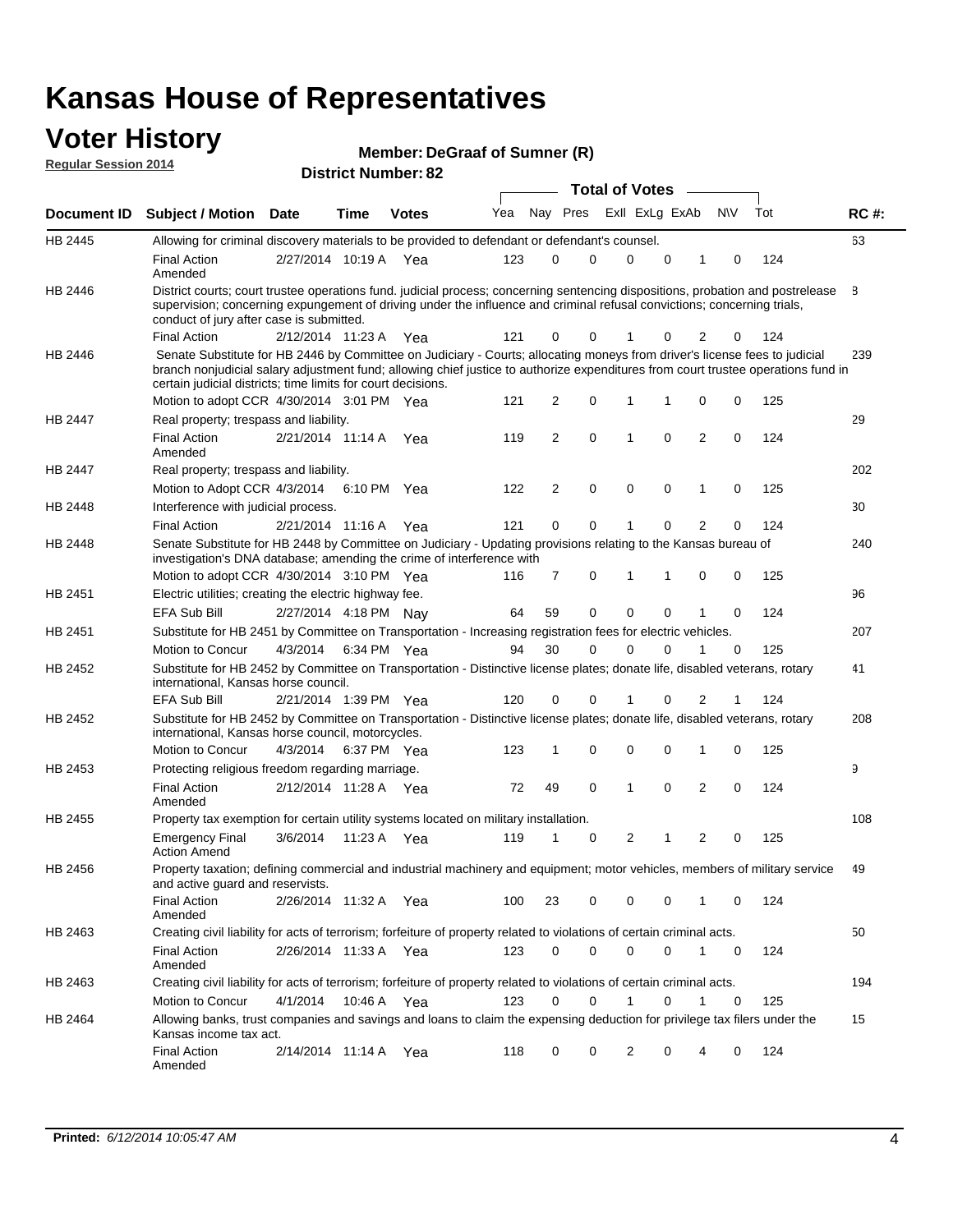#### **Voter History Regular Session 2014**

| Member: DeGraaf of Sumner (R) |  |  |
|-------------------------------|--|--|
|-------------------------------|--|--|

|                |                                                                                                                                                                                                                                                                                                                                 |                       |      |              |     |                |             | <b>Total of Votes</b> |             |                |             |     |             |
|----------------|---------------------------------------------------------------------------------------------------------------------------------------------------------------------------------------------------------------------------------------------------------------------------------------------------------------------------------|-----------------------|------|--------------|-----|----------------|-------------|-----------------------|-------------|----------------|-------------|-----|-------------|
|                | Document ID Subject / Motion Date                                                                                                                                                                                                                                                                                               |                       | Time | <b>Votes</b> | Yea | Nay Pres       |             | Exll ExLg ExAb        |             |                | <b>NV</b>   | Tot | <b>RC#:</b> |
| HB 2445        | Allowing for criminal discovery materials to be provided to defendant or defendant's counsel.                                                                                                                                                                                                                                   |                       |      |              |     |                |             |                       |             |                |             |     | 63          |
|                | <b>Final Action</b><br>Amended                                                                                                                                                                                                                                                                                                  | 2/27/2014 10:19 A     |      | Yea          | 123 | 0              | 0           | 0                     | 0           | 1              | 0           | 124 |             |
| HB 2446        | District courts; court trustee operations fund, judicial process; concerning sentencing dispositions, probation and postrelease<br>supervision; concerning expungement of driving under the influence and criminal refusal convictions; concerning trials,<br>conduct of jury after case is submitted.                          |                       |      |              |     |                |             |                       |             |                |             |     | 8           |
|                | <b>Final Action</b>                                                                                                                                                                                                                                                                                                             | 2/12/2014 11:23 A     |      | Yea          | 121 | 0              | 0           | 1                     | 0           | 2              | 0           | 124 |             |
| <b>HB 2446</b> | Senate Substitute for HB 2446 by Committee on Judiciary - Courts; allocating moneys from driver's license fees to judicial<br>branch nonjudicial salary adjustment fund; allowing chief justice to authorize expenditures from court trustee operations fund in<br>certain judicial districts; time limits for court decisions. |                       |      |              |     |                |             |                       |             |                |             |     | 239         |
|                | Motion to adopt CCR 4/30/2014 3:01 PM Yea                                                                                                                                                                                                                                                                                       |                       |      |              | 121 | 2              | 0           | 1                     | 1           | 0              | 0           | 125 |             |
| <b>HB 2447</b> | Real property; trespass and liability.                                                                                                                                                                                                                                                                                          |                       |      |              |     |                |             |                       |             |                |             |     | 29          |
|                | <b>Final Action</b><br>Amended                                                                                                                                                                                                                                                                                                  | 2/21/2014 11:14 A Yea |      |              | 119 | 2              | 0           | $\mathbf 1$           | 0           | 2              | 0           | 124 |             |
| HB 2447        | Real property; trespass and liability.                                                                                                                                                                                                                                                                                          |                       |      |              |     |                |             |                       |             |                |             |     | 202         |
|                | Motion to Adopt CCR 4/3/2014                                                                                                                                                                                                                                                                                                    |                       |      | 6:10 PM Yea  | 122 | 2              | $\mathbf 0$ | $\mathbf 0$           | $\mathbf 0$ | 1              | 0           | 125 |             |
| HB 2448        | Interference with judicial process.                                                                                                                                                                                                                                                                                             |                       |      |              |     |                |             |                       |             |                |             |     | 30          |
|                | <b>Final Action</b>                                                                                                                                                                                                                                                                                                             | 2/21/2014 11:16 A     |      | Yea          | 121 | 0              | 0           | 1                     | $\Omega$    | $\overline{2}$ | 0           | 124 |             |
| HB 2448        | Senate Substitute for HB 2448 by Committee on Judiciary - Updating provisions relating to the Kansas bureau of<br>investigation's DNA database; amending the crime of interference with                                                                                                                                         |                       |      |              |     |                |             |                       |             |                |             |     | 240         |
|                | Motion to adopt CCR 4/30/2014 3:10 PM Yea                                                                                                                                                                                                                                                                                       |                       |      |              | 116 | $\overline{7}$ | 0           | 1                     | 1           | 0              | 0           | 125 |             |
| HB 2451        | Electric utilities; creating the electric highway fee.                                                                                                                                                                                                                                                                          |                       |      |              |     |                |             |                       |             |                |             |     | 96          |
|                | <b>EFA Sub Bill</b>                                                                                                                                                                                                                                                                                                             | 2/27/2014 4:18 PM Nay |      |              | 64  | 59             | 0           | $\mathbf 0$           | 0           | 1              | 0           | 124 |             |
| HB 2451        | Substitute for HB 2451 by Committee on Transportation - Increasing registration fees for electric vehicles.                                                                                                                                                                                                                     |                       |      |              |     |                |             |                       |             |                |             |     | 207         |
|                | Motion to Concur                                                                                                                                                                                                                                                                                                                | 4/3/2014              |      | 6:34 PM Yea  | 94  | 30             | 0           | $\Omega$              | 0           | 1              | 0           | 125 |             |
| HB 2452        | Substitute for HB 2452 by Committee on Transportation - Distinctive license plates; donate life, disabled veterans, rotary<br>international, Kansas horse council.                                                                                                                                                              |                       |      |              |     |                |             |                       |             |                |             |     | 41          |
|                | EFA Sub Bill                                                                                                                                                                                                                                                                                                                    | 2/21/2014 1:39 PM Yea |      |              | 120 | 0              | 0           |                       | 0           | 2              | 1           | 124 |             |
| HB 2452        | Substitute for HB 2452 by Committee on Transportation - Distinctive license plates; donate life, disabled veterans, rotary<br>international, Kansas horse council, motorcycles.                                                                                                                                                 |                       |      |              |     |                |             |                       |             |                |             |     | 208         |
|                | Motion to Concur                                                                                                                                                                                                                                                                                                                | 4/3/2014              |      | 6:37 PM Yea  | 123 | 1              | 0           | 0                     | 0           | 1              | 0           | 125 |             |
| HB 2453        | Protecting religious freedom regarding marriage.                                                                                                                                                                                                                                                                                |                       |      |              |     |                |             |                       |             |                |             |     | 9           |
|                | <b>Final Action</b><br>Amended                                                                                                                                                                                                                                                                                                  | 2/12/2014 11:28 A Yea |      |              | 72  | 49             | $\mathbf 0$ | 1                     | $\Omega$    | 2              | 0           | 124 |             |
| <b>HB 2455</b> | Property tax exemption for certain utility systems located on military installation.                                                                                                                                                                                                                                            |                       |      |              |     |                |             |                       |             |                |             |     | 108         |
|                | <b>Emergency Final</b><br><b>Action Amend</b>                                                                                                                                                                                                                                                                                   | 3/6/2014              |      | 11:23 A Yea  | 119 | 1              | 0           | 2                     | 1           | 2              | 0           | 125 |             |
| HB 2456        | Property taxation; defining commercial and industrial machinery and equipment; motor vehicles, members of military service<br>and active guard and reservists.                                                                                                                                                                  |                       |      |              |     |                |             |                       |             |                |             |     | 49          |
|                | <b>Final Action</b><br>Amended                                                                                                                                                                                                                                                                                                  | 2/26/2014 11:32 A Yea |      |              | 100 | 23             | 0           | 0                     | 0           | 1              | 0           | 124 |             |
| HB 2463        | Creating civil liability for acts of terrorism; forfeiture of property related to violations of certain criminal acts.                                                                                                                                                                                                          |                       |      |              |     |                |             |                       |             |                |             |     | 50          |
|                | <b>Final Action</b><br>Amended                                                                                                                                                                                                                                                                                                  | 2/26/2014 11:33 A Yea |      |              | 123 | 0              | 0           | 0                     | 0           | $\mathbf{1}$   | 0           | 124 |             |
| HB 2463        | Creating civil liability for acts of terrorism; forfeiture of property related to violations of certain criminal acts.                                                                                                                                                                                                          |                       |      |              |     |                |             |                       |             |                |             |     | 194         |
|                | Motion to Concur                                                                                                                                                                                                                                                                                                                | 4/1/2014              |      | 10:46 A Yea  | 123 | 0              | 0           | $\mathbf{1}$          | 0           | $\mathbf{1}$   | $\mathbf 0$ | 125 |             |
| HB 2464        | Allowing banks, trust companies and savings and loans to claim the expensing deduction for privilege tax filers under the<br>Kansas income tax act.                                                                                                                                                                             |                       |      |              |     |                |             |                       |             |                |             |     | 15          |
|                | <b>Final Action</b><br>Amended                                                                                                                                                                                                                                                                                                  | 2/14/2014 11:14 A Yea |      |              | 118 | 0              | 0           | 2                     | 0           | 4              | 0           | 124 |             |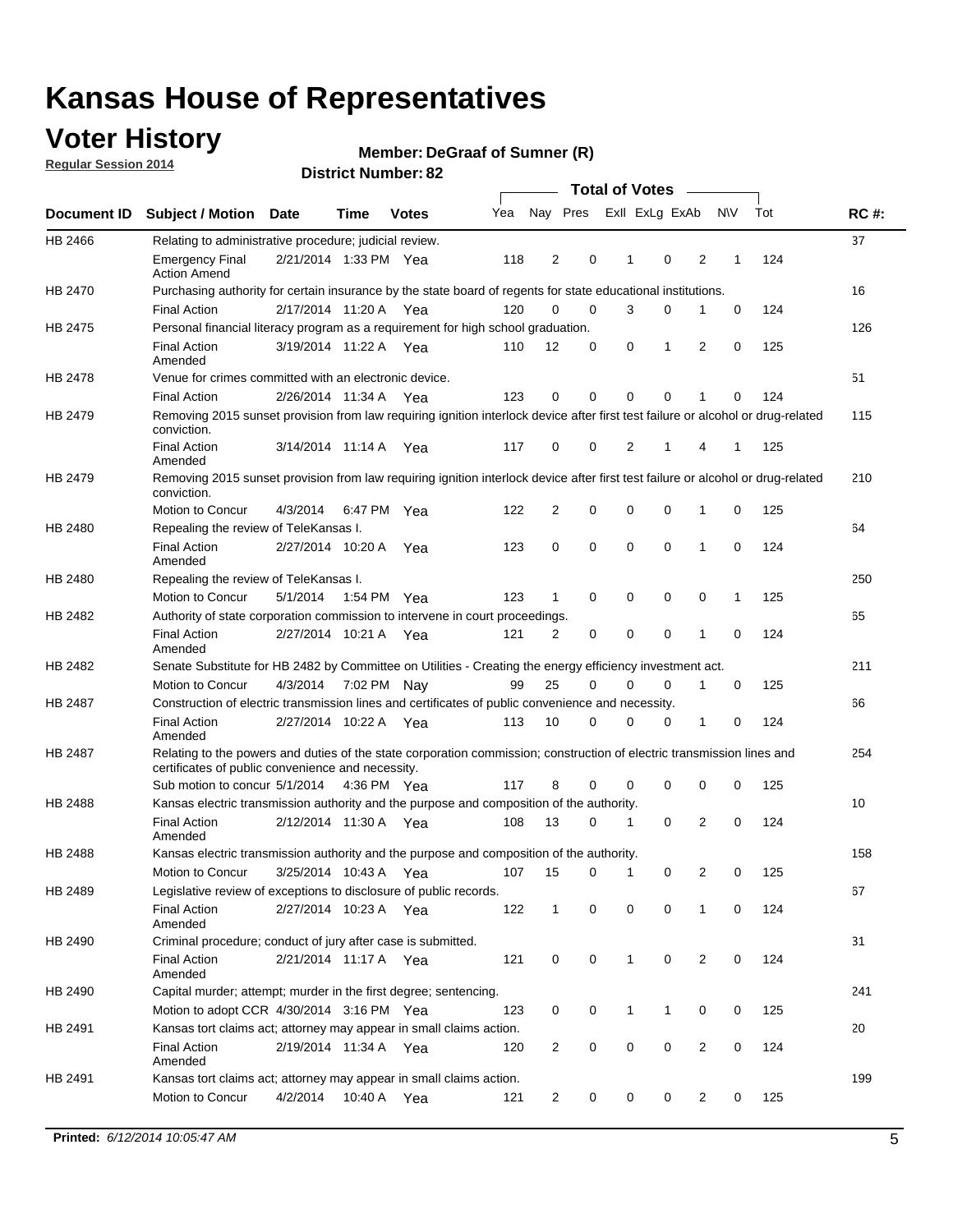### **Voter History**

**Regular Session 2014**

#### **DeGraaf of Sumner (R)**

|                |                                                                                                                                                                             |                       |      |              |     |                |             | <b>Total of Votes</b> |             |                |             |     |             |
|----------------|-----------------------------------------------------------------------------------------------------------------------------------------------------------------------------|-----------------------|------|--------------|-----|----------------|-------------|-----------------------|-------------|----------------|-------------|-----|-------------|
|                | Document ID Subject / Motion Date                                                                                                                                           |                       | Time | <b>Votes</b> | Yea |                | Nay Pres    | Exll ExLg ExAb        |             |                | N\V         | Tot | <b>RC#:</b> |
| HB 2466        | Relating to administrative procedure; judicial review.                                                                                                                      |                       |      |              |     |                |             |                       |             |                |             |     | 37          |
|                | <b>Emergency Final</b><br><b>Action Amend</b>                                                                                                                               | 2/21/2014 1:33 PM Yea |      |              | 118 | 2              | 0           | 1                     | 0           | 2              | 1           | 124 |             |
| HB 2470        | Purchasing authority for certain insurance by the state board of regents for state educational institutions.                                                                |                       |      |              |     |                |             |                       |             |                |             |     | 16          |
|                | <b>Final Action</b>                                                                                                                                                         | 2/17/2014 11:20 A Yea |      |              | 120 | 0              | 0           | 3                     | $\mathbf 0$ | 1              | 0           | 124 |             |
| HB 2475        | Personal financial literacy program as a requirement for high school graduation.                                                                                            |                       |      |              |     |                |             |                       |             |                |             |     | 126         |
|                | <b>Final Action</b><br>Amended                                                                                                                                              | 3/19/2014 11:22 A Yea |      |              | 110 | 12             | 0           | 0                     | 1           | 2              | 0           | 125 |             |
| HB 2478        | Venue for crimes committed with an electronic device.                                                                                                                       |                       |      |              |     |                |             |                       |             |                |             |     | 51          |
|                | <b>Final Action</b>                                                                                                                                                         | 2/26/2014 11:34 A     |      | Yea          | 123 | 0              | 0           | $\Omega$              | $\mathbf 0$ | 1              | 0           | 124 |             |
| HB 2479        | Removing 2015 sunset provision from law requiring ignition interlock device after first test failure or alcohol or drug-related<br>conviction.                              |                       |      |              |     |                |             |                       |             |                |             |     | 115         |
|                | <b>Final Action</b><br>Amended                                                                                                                                              | 3/14/2014 11:14 A     |      | Yea          | 117 | 0              | 0           | 2                     | 1           | 4              | 1           | 125 |             |
| HB 2479        | Removing 2015 sunset provision from law requiring ignition interlock device after first test failure or alcohol or drug-related<br>conviction.                              |                       |      |              |     |                |             |                       |             |                |             |     | 210         |
|                | Motion to Concur                                                                                                                                                            | 4/3/2014              |      | 6:47 PM Yea  | 122 | $\overline{2}$ | 0           | 0                     | $\mathbf 0$ | 1              | 0           | 125 |             |
| HB 2480        | Repealing the review of TeleKansas I.                                                                                                                                       |                       |      |              |     |                |             |                       |             |                |             |     | 64          |
|                | <b>Final Action</b><br>Amended                                                                                                                                              | 2/27/2014 10:20 A     |      | Yea          | 123 | 0              | 0           | $\mathbf 0$           | $\mathbf 0$ | 1              | 0           | 124 |             |
| HB 2480        | Repealing the review of TeleKansas I.                                                                                                                                       |                       |      |              |     |                |             |                       |             |                |             |     | 250         |
|                | Motion to Concur                                                                                                                                                            | 5/1/2014              |      | 1:54 PM Yea  | 123 | 1              | 0           | 0                     | 0           | 0              | 1           | 125 |             |
| HB 2482        | Authority of state corporation commission to intervene in court proceedings.                                                                                                |                       |      |              |     |                |             |                       |             |                |             |     | 65          |
|                | <b>Final Action</b><br>Amended                                                                                                                                              | 2/27/2014 10:21 A     |      | Yea          | 121 | 2              | 0           | 0                     | 0           | 1              | 0           | 124 |             |
| HB 2482        | Senate Substitute for HB 2482 by Committee on Utilities - Creating the energy efficiency investment act.                                                                    |                       |      |              |     |                |             |                       |             |                |             |     | 211         |
|                | Motion to Concur                                                                                                                                                            | 4/3/2014 7:02 PM Nay  |      |              | 99  | 25             | 0           | 0                     | $\mathbf 0$ | 1              | 0           | 125 |             |
| HB 2487        | Construction of electric transmission lines and certificates of public convenience and necessity.                                                                           |                       |      |              |     |                |             |                       |             |                |             |     | 66          |
|                | <b>Final Action</b><br>Amended                                                                                                                                              | 2/27/2014 10:22 A Yea |      |              | 113 | 10             | 0           | 0                     | 0           | 1              | 0           | 124 |             |
| HB 2487        | Relating to the powers and duties of the state corporation commission; construction of electric transmission lines and<br>certificates of public convenience and necessity. |                       |      |              |     |                |             |                       |             |                |             |     | 254         |
|                | Sub motion to concur 5/1/2014                                                                                                                                               |                       |      | 4:36 PM Yea  | 117 | 8              | 0           | 0                     | 0           | 0              | 0           | 125 |             |
| <b>HB 2488</b> | Kansas electric transmission authority and the purpose and composition of the authority.                                                                                    |                       |      |              |     |                |             |                       |             |                |             |     | 10          |
|                | <b>Final Action</b><br>Amended                                                                                                                                              | 2/12/2014 11:30 A     |      | Yea          | 108 | 13             | 0           | 1                     | 0           | 2              | 0           | 124 |             |
| HB 2488        | Kansas electric transmission authority and the purpose and composition of the authority.                                                                                    |                       |      |              |     |                |             |                       |             |                |             |     | 158         |
|                | Motion to Concur                                                                                                                                                            | 3/25/2014 10:43 A     |      | Yea          | 107 | 15             | 0           | 1                     | 0           | 2              | 0           | 125 |             |
| HB 2489        | Legislative review of exceptions to disclosure of public records.                                                                                                           |                       |      |              |     |                |             |                       |             |                |             |     | 67          |
|                | <b>Final Action</b><br>Amended                                                                                                                                              | 2/27/2014 10:23 A Yea |      |              | 122 | $\mathbf 1$    | 0           | 0                     | 0           | 1              | 0           | 124 |             |
| HB 2490        | Criminal procedure; conduct of jury after case is submitted.                                                                                                                |                       |      |              |     |                |             |                       |             |                |             |     | 31          |
|                | <b>Final Action</b><br>Amended                                                                                                                                              | 2/21/2014 11:17 A Yea |      |              | 121 | 0              | 0           | $\mathbf{1}$          | 0           | 2              | $\mathbf 0$ | 124 |             |
| HB 2490        | Capital murder; attempt; murder in the first degree; sentencing.                                                                                                            |                       |      |              |     |                |             |                       |             |                |             |     | 241         |
|                | Motion to adopt CCR 4/30/2014 3:16 PM Yea                                                                                                                                   |                       |      |              | 123 | 0              | 0           | $\mathbf{1}$          | 1           | 0              | 0           | 125 |             |
| HB 2491        | Kansas tort claims act; attorney may appear in small claims action.                                                                                                         |                       |      |              |     |                |             |                       |             |                |             |     | 20          |
|                | <b>Final Action</b><br>Amended                                                                                                                                              | 2/19/2014 11:34 A Yea |      |              | 120 | $\overline{2}$ | 0           | 0                     | 0           | $\overline{2}$ | 0           | 124 |             |
| HB 2491        | Kansas tort claims act; attorney may appear in small claims action.                                                                                                         |                       |      |              |     |                |             |                       |             |                |             |     | 199         |
|                | Motion to Concur                                                                                                                                                            | 4/2/2014              |      | 10:40 A Yea  | 121 | 2              | $\mathbf 0$ | 0                     | 0           | 2              | 0           | 125 |             |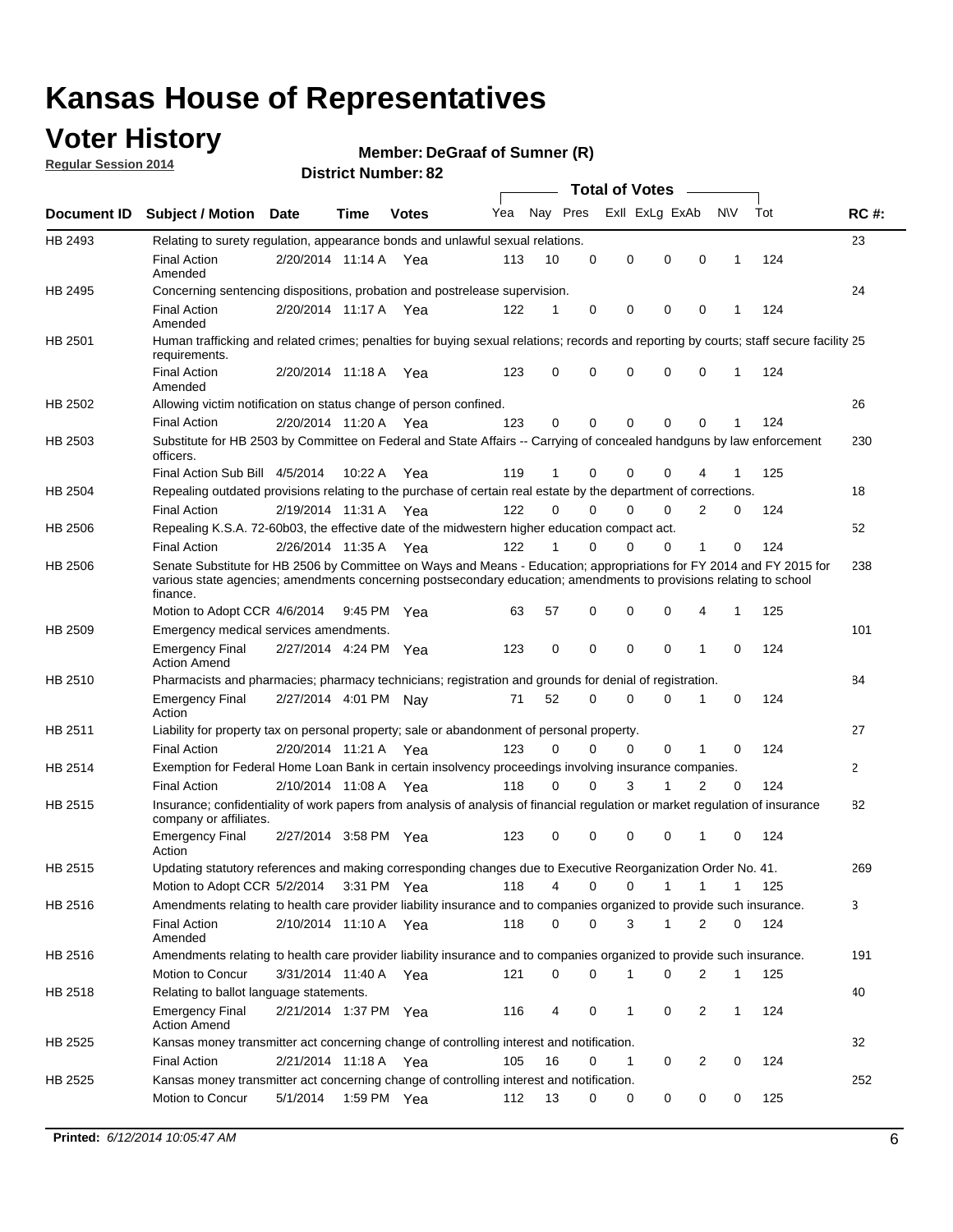### **Voter History**

**Regular Session 2014**

#### **DeGraaf of Sumner (R)**

|                |                                                                                                                                                                                                                                                        |                       |             |              |     |          |          | <b>Total of Votes</b> |              |              |              |     |                |
|----------------|--------------------------------------------------------------------------------------------------------------------------------------------------------------------------------------------------------------------------------------------------------|-----------------------|-------------|--------------|-----|----------|----------|-----------------------|--------------|--------------|--------------|-----|----------------|
|                | Document ID Subject / Motion Date                                                                                                                                                                                                                      |                       | Time        | <b>Votes</b> | Yea | Nay Pres |          | Exll ExLg ExAb        |              |              | <b>NV</b>    | Tot | <b>RC#:</b>    |
| HB 2493        | Relating to surety regulation, appearance bonds and unlawful sexual relations.                                                                                                                                                                         |                       |             |              |     |          |          |                       |              |              |              |     | 23             |
|                | <b>Final Action</b><br>Amended                                                                                                                                                                                                                         | 2/20/2014 11:14 A     |             | Yea          | 113 | 10       | 0        | 0                     | 0            | 0            | 1            | 124 |                |
| HB 2495        | Concerning sentencing dispositions, probation and postrelease supervision.                                                                                                                                                                             |                       |             |              |     |          |          |                       |              |              |              |     | 24             |
|                | <b>Final Action</b><br>Amended                                                                                                                                                                                                                         | 2/20/2014 11:17 A Yea |             |              | 122 | 1        | 0        | 0                     | 0            | 0            | 1            | 124 |                |
| HB 2501        | Human trafficking and related crimes; penalties for buying sexual relations; records and reporting by courts; staff secure facility 25<br>requirements.                                                                                                |                       |             |              |     |          |          |                       |              |              |              |     |                |
|                | <b>Final Action</b><br>Amended                                                                                                                                                                                                                         | 2/20/2014 11:18 A Yea |             |              | 123 | 0        | 0        | 0                     | 0            | $\mathbf 0$  | 1            | 124 |                |
| HB 2502        | Allowing victim notification on status change of person confined.                                                                                                                                                                                      |                       |             |              |     |          |          |                       |              |              |              |     | 26             |
|                | <b>Final Action</b>                                                                                                                                                                                                                                    | 2/20/2014 11:20 A Yea |             |              | 123 | 0        | 0        | 0                     | 0            | $\Omega$     |              | 124 |                |
| HB 2503        | Substitute for HB 2503 by Committee on Federal and State Affairs -- Carrying of concealed handguns by law enforcement<br>officers.                                                                                                                     |                       |             |              |     |          |          |                       |              |              |              |     | 230            |
|                | Final Action Sub Bill 4/5/2014                                                                                                                                                                                                                         |                       | 10:22 A     | Yea          | 119 |          | 0        | 0                     | 0            | 4            |              | 125 |                |
| HB 2504        | Repealing outdated provisions relating to the purchase of certain real estate by the department of corrections.                                                                                                                                        |                       |             |              |     |          |          |                       |              |              |              |     | 18             |
|                | <b>Final Action</b>                                                                                                                                                                                                                                    | 2/19/2014 11:31 A Yea |             |              | 122 | $\Omega$ | 0        | 0                     | $\Omega$     | 2            | 0            | 124 |                |
| <b>HB 2506</b> | Repealing K.S.A. 72-60b03, the effective date of the midwestern higher education compact act.                                                                                                                                                          |                       |             |              |     |          |          |                       |              |              |              |     | 52             |
|                | <b>Final Action</b>                                                                                                                                                                                                                                    | 2/26/2014 11:35 A Yea |             |              | 122 |          | 0        | 0                     | 0            | 1            | 0            | 124 |                |
| HB 2506        | Senate Substitute for HB 2506 by Committee on Ways and Means - Education; appropriations for FY 2014 and FY 2015 for<br>various state agencies; amendments concerning postsecondary education; amendments to provisions relating to school<br>finance. |                       |             |              |     |          |          |                       |              |              |              |     | 238            |
|                | Motion to Adopt CCR 4/6/2014                                                                                                                                                                                                                           |                       | 9:45 PM Yea |              | 63  | 57       | 0        | 0                     | 0            | 4            | 1            | 125 |                |
| HB 2509        | Emergency medical services amendments.                                                                                                                                                                                                                 |                       |             |              |     |          |          |                       |              |              |              |     | 101            |
|                | <b>Emergency Final</b><br><b>Action Amend</b>                                                                                                                                                                                                          | 2/27/2014 4:24 PM Yea |             |              | 123 | 0        | 0        | 0                     | 0            | 1            | 0            | 124 |                |
| HB 2510        | Pharmacists and pharmacies; pharmacy technicians; registration and grounds for denial of registration.                                                                                                                                                 |                       |             |              |     |          |          |                       |              |              |              |     | 84             |
|                | <b>Emergency Final</b><br>Action                                                                                                                                                                                                                       | 2/27/2014 4:01 PM Nay |             |              | 71  | 52       | 0        | 0                     | 0            | 1            | 0            | 124 |                |
| HB 2511        | Liability for property tax on personal property; sale or abandonment of personal property.                                                                                                                                                             |                       |             |              |     |          |          |                       |              |              |              |     | 27             |
|                | <b>Final Action</b>                                                                                                                                                                                                                                    | 2/20/2014 11:21 A     |             | Yea          | 123 | $\Omega$ | $\Omega$ | $\Omega$              | 0            | 1            | 0            | 124 |                |
| HB 2514        | Exemption for Federal Home Loan Bank in certain insolvency proceedings involving insurance companies.                                                                                                                                                  |                       |             |              |     |          |          |                       |              |              |              |     | $\overline{2}$ |
|                | <b>Final Action</b>                                                                                                                                                                                                                                    | 2/10/2014 11:08 A     |             | Yea          | 118 | 0        | 0        | 3                     | 1            | 2            | $\mathbf 0$  | 124 |                |
| <b>HB 2515</b> | Insurance; confidentiality of work papers from analysis of analysis of financial regulation or market regulation of insurance<br>company or affiliates.                                                                                                |                       |             |              |     |          |          |                       |              |              |              |     | 82             |
|                | <b>Emergency Final</b><br>Action                                                                                                                                                                                                                       | 2/27/2014 3:58 PM Yea |             |              | 123 | 0        | 0        | 0                     | 0            | 1            | 0            | 124 |                |
| HB 2515        | Updating statutory references and making corresponding changes due to Executive Reorganization Order No. 41.                                                                                                                                           |                       |             |              |     |          |          |                       |              |              |              |     | 269            |
|                | Motion to Adopt CCR 5/2/2014 3:31 PM Yea                                                                                                                                                                                                               |                       |             |              | 118 | 4        | 0        | 0                     | $\mathbf{1}$ | $\mathbf{1}$ | $\mathbf{1}$ | 125 |                |
| HB 2516        | Amendments relating to health care provider liability insurance and to companies organized to provide such insurance.                                                                                                                                  |                       |             |              |     |          |          |                       |              |              |              |     | 3              |
|                | <b>Final Action</b><br>Amended                                                                                                                                                                                                                         | 2/10/2014 11:10 A     |             | Yea          | 118 | 0        | 0        | 3                     | $\mathbf{1}$ | 2            | 0            | 124 |                |
| HB 2516        | Amendments relating to health care provider liability insurance and to companies organized to provide such insurance.                                                                                                                                  |                       |             |              |     |          |          |                       |              |              |              |     | 191            |
|                | Motion to Concur                                                                                                                                                                                                                                       | 3/31/2014 11:40 A Yea |             |              | 121 | 0        | 0        | 1                     | 0            | 2            | 1            | 125 |                |
| HB 2518        | Relating to ballot language statements.                                                                                                                                                                                                                |                       |             |              |     |          |          |                       |              |              |              |     | 40             |
|                | <b>Emergency Final</b><br><b>Action Amend</b>                                                                                                                                                                                                          | 2/21/2014 1:37 PM Yea |             |              | 116 | 4        | 0        | 1                     | 0            | 2            | 1            | 124 |                |
| HB 2525        | Kansas money transmitter act concerning change of controlling interest and notification.                                                                                                                                                               |                       |             |              |     |          |          |                       |              |              |              |     | 32             |
|                | <b>Final Action</b>                                                                                                                                                                                                                                    | 2/21/2014 11:18 A Yea |             |              | 105 | 16       | 0        | 1                     | 0            | 2            | $\mathbf 0$  | 124 |                |
| HB 2525        | Kansas money transmitter act concerning change of controlling interest and notification.<br>Motion to Concur                                                                                                                                           | 5/1/2014              |             | 1:59 PM Yea  | 112 | 13       | 0        | 0                     | 0            | 0            | 0            | 125 | 252            |
|                |                                                                                                                                                                                                                                                        |                       |             |              |     |          |          |                       |              |              |              |     |                |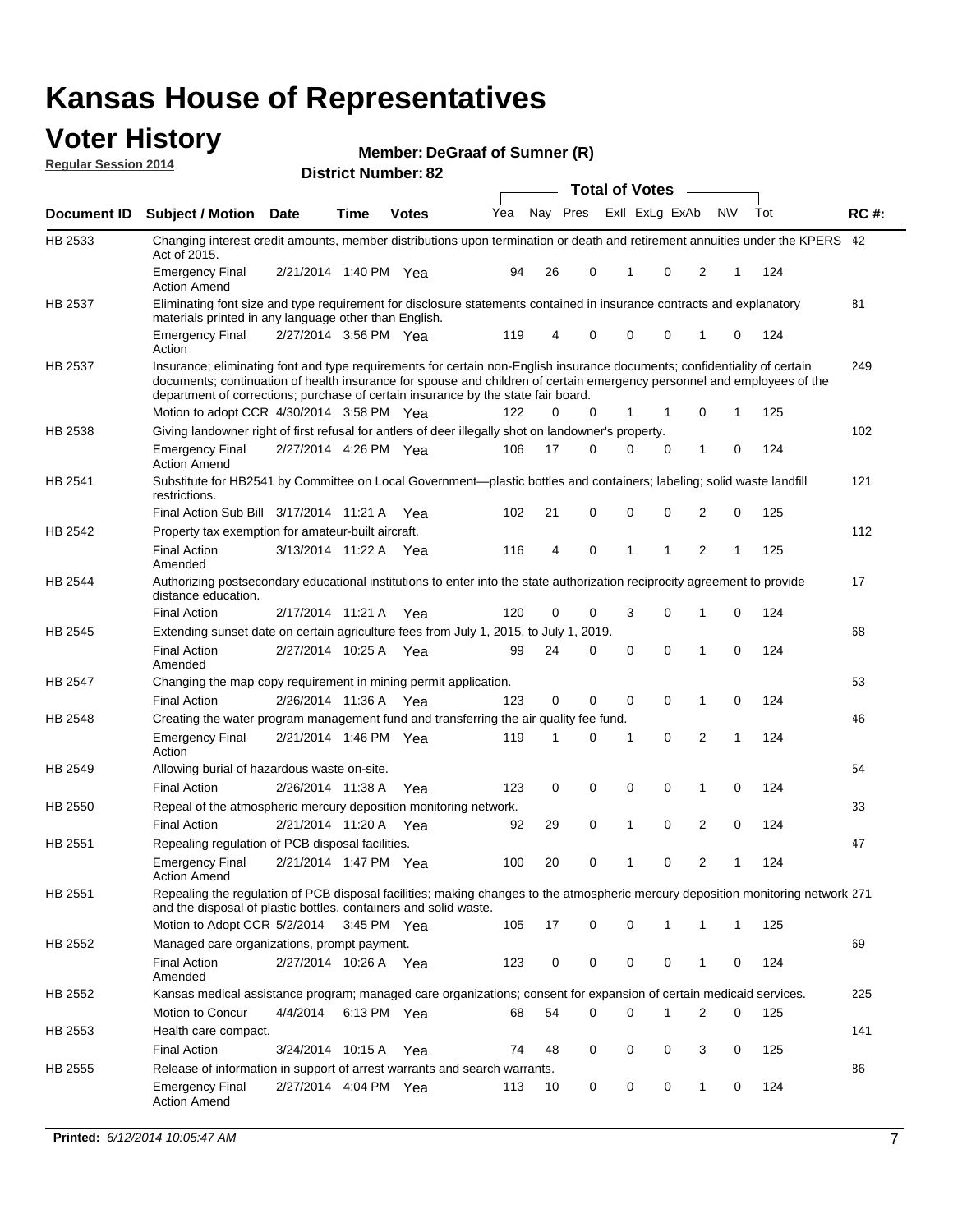#### **Voter History Regular Session 2014**

| Member: DeGraaf of Sumner (R) |  |  |
|-------------------------------|--|--|
|-------------------------------|--|--|

|                |                                                                                                                                                                                                                                                                                                                                           |                       |             | <b>DISTRICT NUMBER: 82</b> |     |    |          | <b>Total of Votes</b> |             |                | $\sim$       |              |     |             |
|----------------|-------------------------------------------------------------------------------------------------------------------------------------------------------------------------------------------------------------------------------------------------------------------------------------------------------------------------------------------|-----------------------|-------------|----------------------------|-----|----|----------|-----------------------|-------------|----------------|--------------|--------------|-----|-------------|
|                |                                                                                                                                                                                                                                                                                                                                           |                       |             |                            |     |    |          |                       |             |                |              |              |     |             |
| Document ID    | <b>Subject / Motion Date</b>                                                                                                                                                                                                                                                                                                              |                       | Time        | <b>Votes</b>               | Yea |    | Nay Pres |                       |             | Exll ExLg ExAb |              | <b>NV</b>    | Tot | <b>RC#:</b> |
| HB 2533        | Changing interest credit amounts, member distributions upon termination or death and retirement annuities under the KPERS 42<br>Act of 2015.                                                                                                                                                                                              |                       |             |                            |     |    |          |                       |             |                |              |              |     |             |
|                | <b>Emergency Final</b><br><b>Action Amend</b>                                                                                                                                                                                                                                                                                             | 2/21/2014 1:40 PM Yea |             |                            | 94  | 26 | 0        |                       | 1           | 0              | 2            | 1            | 124 |             |
| <b>HB 2537</b> | Eliminating font size and type requirement for disclosure statements contained in insurance contracts and explanatory<br>materials printed in any language other than English.                                                                                                                                                            |                       |             |                            |     |    |          |                       |             |                |              |              |     | 81          |
|                | <b>Emergency Final</b><br>Action                                                                                                                                                                                                                                                                                                          | 2/27/2014 3:56 PM Yea |             |                            | 119 | 4  | 0        |                       | $\mathbf 0$ | 0              | 1            | 0            | 124 |             |
| HB 2537        | Insurance; eliminating font and type requirements for certain non-English insurance documents; confidentiality of certain<br>documents; continuation of health insurance for spouse and children of certain emergency personnel and employees of the<br>department of corrections; purchase of certain insurance by the state fair board. |                       |             |                            |     |    |          |                       |             |                |              |              |     | 249         |
|                | Motion to adopt CCR 4/30/2014 3:58 PM Yea                                                                                                                                                                                                                                                                                                 |                       |             |                            | 122 | 0  | 0        |                       | 1           | $\mathbf 1$    | 0            | 1.           | 125 |             |
| HB 2538        | Giving landowner right of first refusal for antlers of deer illegally shot on landowner's property.                                                                                                                                                                                                                                       |                       |             |                            |     |    |          |                       |             |                |              |              |     | 102         |
|                | <b>Emergency Final</b><br><b>Action Amend</b>                                                                                                                                                                                                                                                                                             | 2/27/2014 4:26 PM Yea |             |                            | 106 | 17 | 0        |                       | 0           | 0              | 1            | 0            | 124 |             |
| HB 2541        | Substitute for HB2541 by Committee on Local Government—plastic bottles and containers; labeling; solid waste landfill<br>restrictions.                                                                                                                                                                                                    |                       |             |                            |     |    |          |                       |             |                |              |              |     | 121         |
|                | Final Action Sub Bill 3/17/2014 11:21 A Yea                                                                                                                                                                                                                                                                                               |                       |             |                            | 102 | 21 | 0        |                       | $\mathbf 0$ | 0              | 2            | 0            | 125 |             |
| HB 2542        | Property tax exemption for amateur-built aircraft.                                                                                                                                                                                                                                                                                        |                       |             |                            |     |    |          |                       |             |                |              |              |     | 112         |
|                | <b>Final Action</b><br>Amended                                                                                                                                                                                                                                                                                                            | 3/13/2014 11:22 A Yea |             |                            | 116 | 4  | 0        |                       | 1           | 1              | 2            | 1            | 125 |             |
| HB 2544        | Authorizing postsecondary educational institutions to enter into the state authorization reciprocity agreement to provide<br>distance education.                                                                                                                                                                                          |                       |             |                            |     |    |          |                       |             |                |              |              |     | 17          |
|                | <b>Final Action</b>                                                                                                                                                                                                                                                                                                                       | 2/17/2014 11:21 A Yea |             |                            | 120 | 0  | 0        |                       | 3           | 0              | 1            | 0            | 124 |             |
| HB 2545        | Extending sunset date on certain agriculture fees from July 1, 2015, to July 1, 2019.                                                                                                                                                                                                                                                     |                       |             |                            |     |    |          |                       |             |                |              |              |     | 68          |
|                | <b>Final Action</b><br>Amended                                                                                                                                                                                                                                                                                                            | 2/27/2014 10:25 A Yea |             |                            | 99  | 24 | 0        |                       | 0           | 0              | 1            | $\Omega$     | 124 |             |
| <b>HB 2547</b> | Changing the map copy requirement in mining permit application.                                                                                                                                                                                                                                                                           |                       |             |                            |     |    |          |                       |             |                |              |              |     | 53          |
|                | <b>Final Action</b>                                                                                                                                                                                                                                                                                                                       | 2/26/2014 11:36 A     |             | Yea                        | 123 | 0  | 0        |                       | 0           | 0              | $\mathbf{1}$ | 0            | 124 |             |
| HB 2548        | Creating the water program management fund and transferring the air quality fee fund.                                                                                                                                                                                                                                                     |                       |             |                            |     |    |          |                       |             |                |              |              |     | 46          |
|                | <b>Emergency Final</b><br>Action                                                                                                                                                                                                                                                                                                          | 2/21/2014 1:46 PM Yea |             |                            | 119 | 1  | 0        |                       | 1           | 0              | 2            | $\mathbf{1}$ | 124 |             |
| HB 2549        | Allowing burial of hazardous waste on-site.                                                                                                                                                                                                                                                                                               |                       |             |                            |     |    |          |                       |             |                |              |              |     | 54          |
|                | <b>Final Action</b>                                                                                                                                                                                                                                                                                                                       | 2/26/2014 11:38 A     |             | Yea                        | 123 | 0  | 0        |                       | 0           | 0              | 1            | 0            | 124 |             |
| HB 2550        | Repeal of the atmospheric mercury deposition monitoring network.                                                                                                                                                                                                                                                                          |                       |             |                            |     |    |          |                       |             |                |              |              |     | 33          |
|                | <b>Final Action</b>                                                                                                                                                                                                                                                                                                                       | 2/21/2014 11:20 A Yea |             |                            | 92  | 29 | 0        |                       | 1           | 0              | 2            | 0            | 124 |             |
| HB 2551        | Repealing regulation of PCB disposal facilities.                                                                                                                                                                                                                                                                                          |                       |             |                            |     |    |          |                       |             |                |              |              |     | 47          |
|                | <b>Emergency Final</b><br><b>Action Amend</b>                                                                                                                                                                                                                                                                                             | 2/21/2014 1:47 PM Yea |             |                            | 100 | 20 | 0        |                       | 1           | 0              | 2            | 1            | 124 |             |
| HB 2551        | Repealing the regulation of PCB disposal facilities; making changes to the atmospheric mercury deposition monitoring network 271<br>and the disposal of plastic bottles, containers and solid waste.                                                                                                                                      |                       |             |                            |     |    |          |                       |             |                |              |              |     |             |
|                | Motion to Adopt CCR 5/2/2014 3:45 PM Yea                                                                                                                                                                                                                                                                                                  |                       |             |                            | 105 | 17 | 0        |                       | 0           | 1              | 1            | 1            | 125 |             |
| HB 2552        | Managed care organizations, prompt payment.                                                                                                                                                                                                                                                                                               |                       |             |                            |     |    |          |                       |             |                |              |              |     | 69          |
|                | <b>Final Action</b><br>Amended                                                                                                                                                                                                                                                                                                            | 2/27/2014 10:26 A Yea |             |                            | 123 | 0  | 0        |                       | 0           | 0              | 1            | 0            | 124 |             |
| HB 2552        | Kansas medical assistance program; managed care organizations; consent for expansion of certain medicaid services.                                                                                                                                                                                                                        |                       |             |                            |     |    |          |                       |             |                |              |              |     | 225         |
|                | Motion to Concur                                                                                                                                                                                                                                                                                                                          | 4/4/2014              | 6:13 PM Yea |                            | 68  | 54 | 0        |                       | $\Omega$    |                | 2            | 0            | 125 |             |
| HB 2553        | Health care compact.                                                                                                                                                                                                                                                                                                                      |                       |             |                            |     |    |          |                       |             |                |              |              |     | 141         |
|                | <b>Final Action</b>                                                                                                                                                                                                                                                                                                                       | 3/24/2014 10:15 A Yea |             |                            | 74  | 48 | 0        |                       | 0           | 0              | 3            | 0            | 125 |             |
| HB 2555        | Release of information in support of arrest warrants and search warrants.                                                                                                                                                                                                                                                                 |                       |             |                            |     |    |          |                       |             |                |              |              |     | 86          |
|                | <b>Emergency Final</b><br><b>Action Amend</b>                                                                                                                                                                                                                                                                                             | 2/27/2014 4:04 PM Yea |             |                            | 113 | 10 | 0        |                       | 0           | 0              | $\mathbf{1}$ | 0            | 124 |             |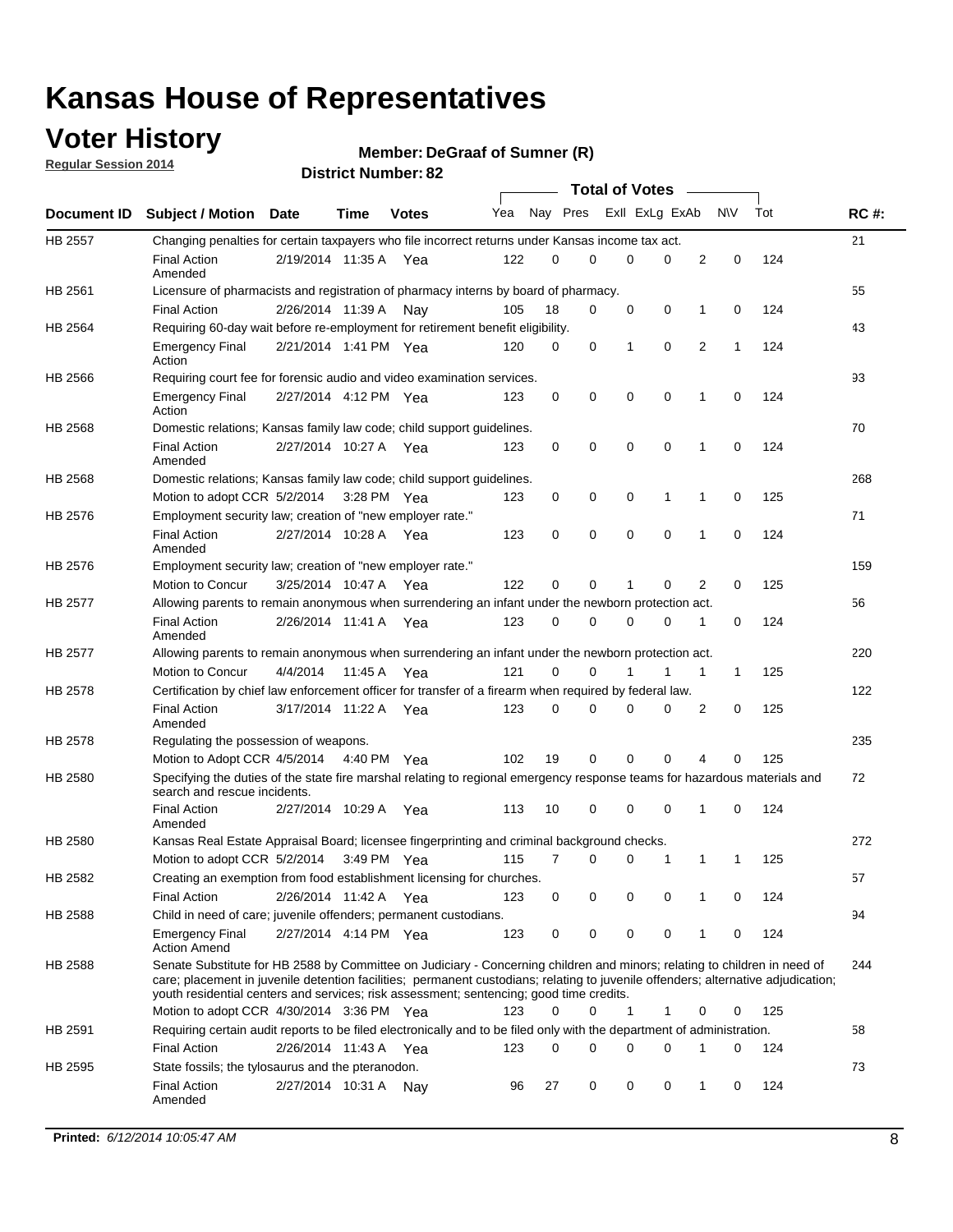### **Voter History**

**Regular Session 2014**

#### **DeGraaf of Sumner (R)**

|                |                                                                                                                                                                                                                                                                                                                                                           |                       |         |              |     |          |          | <b>Total of Votes</b> |          |   |             |     |             |
|----------------|-----------------------------------------------------------------------------------------------------------------------------------------------------------------------------------------------------------------------------------------------------------------------------------------------------------------------------------------------------------|-----------------------|---------|--------------|-----|----------|----------|-----------------------|----------|---|-------------|-----|-------------|
|                | Document ID Subject / Motion                                                                                                                                                                                                                                                                                                                              | Date                  | Time    | <b>Votes</b> | Yea |          | Nay Pres | Exll ExLg ExAb        |          |   | <b>NV</b>   | Tot | <b>RC#:</b> |
| HB 2557        | Changing penalties for certain taxpayers who file incorrect returns under Kansas income tax act.                                                                                                                                                                                                                                                          |                       |         |              |     |          |          |                       |          |   |             |     | 21          |
|                | <b>Final Action</b><br>Amended                                                                                                                                                                                                                                                                                                                            | 2/19/2014 11:35 A     |         | Yea          | 122 | 0        | 0        | 0                     | 0        | 2 | 0           | 124 |             |
| HB 2561        | Licensure of pharmacists and registration of pharmacy interns by board of pharmacy.                                                                                                                                                                                                                                                                       |                       |         |              |     |          |          |                       |          |   |             |     | 55          |
|                | <b>Final Action</b>                                                                                                                                                                                                                                                                                                                                       | 2/26/2014 11:39 A     |         | Nav          | 105 | 18       | 0        | 0                     | 0        | 1 | 0           | 124 |             |
| HB 2564        | Requiring 60-day wait before re-employment for retirement benefit eligibility.                                                                                                                                                                                                                                                                            |                       |         |              |     |          |          |                       |          |   |             |     | 43          |
|                | <b>Emergency Final</b><br>Action                                                                                                                                                                                                                                                                                                                          | 2/21/2014 1:41 PM Yea |         |              | 120 | 0        | 0        | 1                     | 0        | 2 | 1           | 124 |             |
| HB 2566        | Requiring court fee for forensic audio and video examination services.                                                                                                                                                                                                                                                                                    |                       |         |              |     |          |          |                       |          |   |             |     | 93          |
|                | <b>Emergency Final</b><br>Action                                                                                                                                                                                                                                                                                                                          | 2/27/2014 4:12 PM Yea |         |              | 123 | 0        | 0        | 0                     | 0        | 1 | $\mathbf 0$ | 124 |             |
| HB 2568        | Domestic relations; Kansas family law code; child support guidelines.                                                                                                                                                                                                                                                                                     |                       |         |              |     |          |          |                       |          |   |             |     | 70          |
|                | <b>Final Action</b><br>Amended                                                                                                                                                                                                                                                                                                                            | 2/27/2014 10:27 A     |         | Yea          | 123 | 0        | 0        | 0                     | 0        | 1 | 0           | 124 |             |
| HB 2568        | Domestic relations; Kansas family law code; child support guidelines.                                                                                                                                                                                                                                                                                     |                       |         |              |     |          |          |                       |          |   |             |     | 268         |
|                | Motion to adopt CCR 5/2/2014 3:28 PM Yea                                                                                                                                                                                                                                                                                                                  |                       |         |              | 123 | 0        | 0        | 0                     | 1        | 1 | $\mathbf 0$ | 125 |             |
| HB 2576        | Employment security law; creation of "new employer rate."                                                                                                                                                                                                                                                                                                 |                       |         |              |     |          |          |                       |          |   |             |     | 71          |
|                | <b>Final Action</b><br>Amended                                                                                                                                                                                                                                                                                                                            | 2/27/2014 10:28 A     |         | Yea          | 123 | 0        | 0        | 0                     | 0        | 1 | $\mathbf 0$ | 124 |             |
| HB 2576        | Employment security law; creation of "new employer rate."                                                                                                                                                                                                                                                                                                 |                       |         |              |     |          |          |                       |          |   |             |     | 159         |
|                | Motion to Concur                                                                                                                                                                                                                                                                                                                                          | 3/25/2014 10:47 A     |         | Yea          | 122 | 0        | 0        | 1                     | 0        | 2 | 0           | 125 |             |
| <b>HB 2577</b> | Allowing parents to remain anonymous when surrendering an infant under the newborn protection act.                                                                                                                                                                                                                                                        |                       |         |              |     |          |          |                       |          |   |             |     | 56          |
|                | <b>Final Action</b><br>Amended                                                                                                                                                                                                                                                                                                                            | 2/26/2014 11:41 A Yea |         |              | 123 | $\Omega$ | 0        | 0                     | 0        | 1 | 0           | 124 |             |
| HB 2577        | Allowing parents to remain anonymous when surrendering an infant under the newborn protection act.                                                                                                                                                                                                                                                        |                       |         |              |     |          |          |                       |          |   |             |     | 220         |
|                | Motion to Concur                                                                                                                                                                                                                                                                                                                                          | 4/4/2014              | 11:45 A | Yea          | 121 | 0        | 0        |                       | 1        | 1 | 1           | 125 |             |
| HB 2578        | Certification by chief law enforcement officer for transfer of a firearm when required by federal law.                                                                                                                                                                                                                                                    |                       |         |              |     |          |          |                       |          |   |             |     | 122         |
|                | <b>Final Action</b><br>Amended                                                                                                                                                                                                                                                                                                                            | 3/17/2014 11:22 A     |         | Yea          | 123 | $\Omega$ | 0        | 0                     | 0        | 2 | 0           | 125 |             |
| HB 2578        | Regulating the possession of weapons.                                                                                                                                                                                                                                                                                                                     |                       |         |              |     |          |          |                       |          |   |             |     | 235         |
|                | Motion to Adopt CCR 4/5/2014 4:40 PM Yea                                                                                                                                                                                                                                                                                                                  |                       |         |              | 102 | 19       | 0        | 0                     | $\Omega$ | 4 | 0           | 125 |             |
| HB 2580        | Specifying the duties of the state fire marshal relating to regional emergency response teams for hazardous materials and<br>search and rescue incidents.                                                                                                                                                                                                 |                       |         |              |     |          |          |                       |          |   |             |     | 72          |
|                | <b>Final Action</b><br>Amended                                                                                                                                                                                                                                                                                                                            | 2/27/2014 10:29 A     |         | Yea          | 113 | 10       | 0        | 0                     | 0        | 1 | 0           | 124 |             |
| HB 2580        | Kansas Real Estate Appraisal Board; licensee fingerprinting and criminal background checks.                                                                                                                                                                                                                                                               |                       |         |              |     |          |          |                       |          |   |             |     | 272         |
|                | Motion to adopt CCR 5/2/2014                                                                                                                                                                                                                                                                                                                              |                       |         | 3:49 PM Yea  | 115 | 7        | 0        | 0                     | 1        | 1 | 1           | 125 |             |
| HB 2582        | Creating an exemption from food establishment licensing for churches.                                                                                                                                                                                                                                                                                     |                       |         |              |     |          |          |                       |          |   |             |     | 57          |
|                | <b>Final Action</b>                                                                                                                                                                                                                                                                                                                                       | 2/26/2014 11:42 A Yea |         |              | 123 | 0        | 0        | 0                     | 0        | 1 | 0           | 124 |             |
| HB 2588        | Child in need of care; juvenile offenders; permanent custodians.                                                                                                                                                                                                                                                                                          |                       |         |              |     |          |          |                       |          |   |             |     | 94          |
|                | <b>Emergency Final</b><br><b>Action Amend</b>                                                                                                                                                                                                                                                                                                             | 2/27/2014 4:14 PM Yea |         |              | 123 | 0        | 0        | 0                     | 0        | 1 | 0           | 124 |             |
| HB 2588        | Senate Substitute for HB 2588 by Committee on Judiciary - Concerning children and minors; relating to children in need of<br>care; placement in juvenile detention facilities; permanent custodians; relating to juvenile offenders; alternative adjudication;<br>youth residential centers and services; risk assessment; sentencing; good time credits. |                       |         |              |     |          |          |                       |          |   |             |     | 244         |
|                | Motion to adopt CCR 4/30/2014 3:36 PM Yea                                                                                                                                                                                                                                                                                                                 |                       |         |              | 123 | 0        | 0        | 1                     | 1        | 0 | 0           | 125 |             |
| HB 2591        | Requiring certain audit reports to be filed electronically and to be filed only with the department of administration.                                                                                                                                                                                                                                    |                       |         |              |     |          |          |                       |          |   |             |     | 58          |
|                | <b>Final Action</b>                                                                                                                                                                                                                                                                                                                                       | 2/26/2014 11:43 A Yea |         |              | 123 | 0        | 0        | 0                     | 0        | 1 | 0           | 124 |             |
| HB 2595        | State fossils; the tylosaurus and the pteranodon.                                                                                                                                                                                                                                                                                                         |                       |         |              |     |          |          |                       |          |   |             |     | 73          |
|                | <b>Final Action</b><br>Amended                                                                                                                                                                                                                                                                                                                            | 2/27/2014 10:31 A Nay |         |              | 96  | 27       | 0        | 0                     | 0        | 1 | 0           | 124 |             |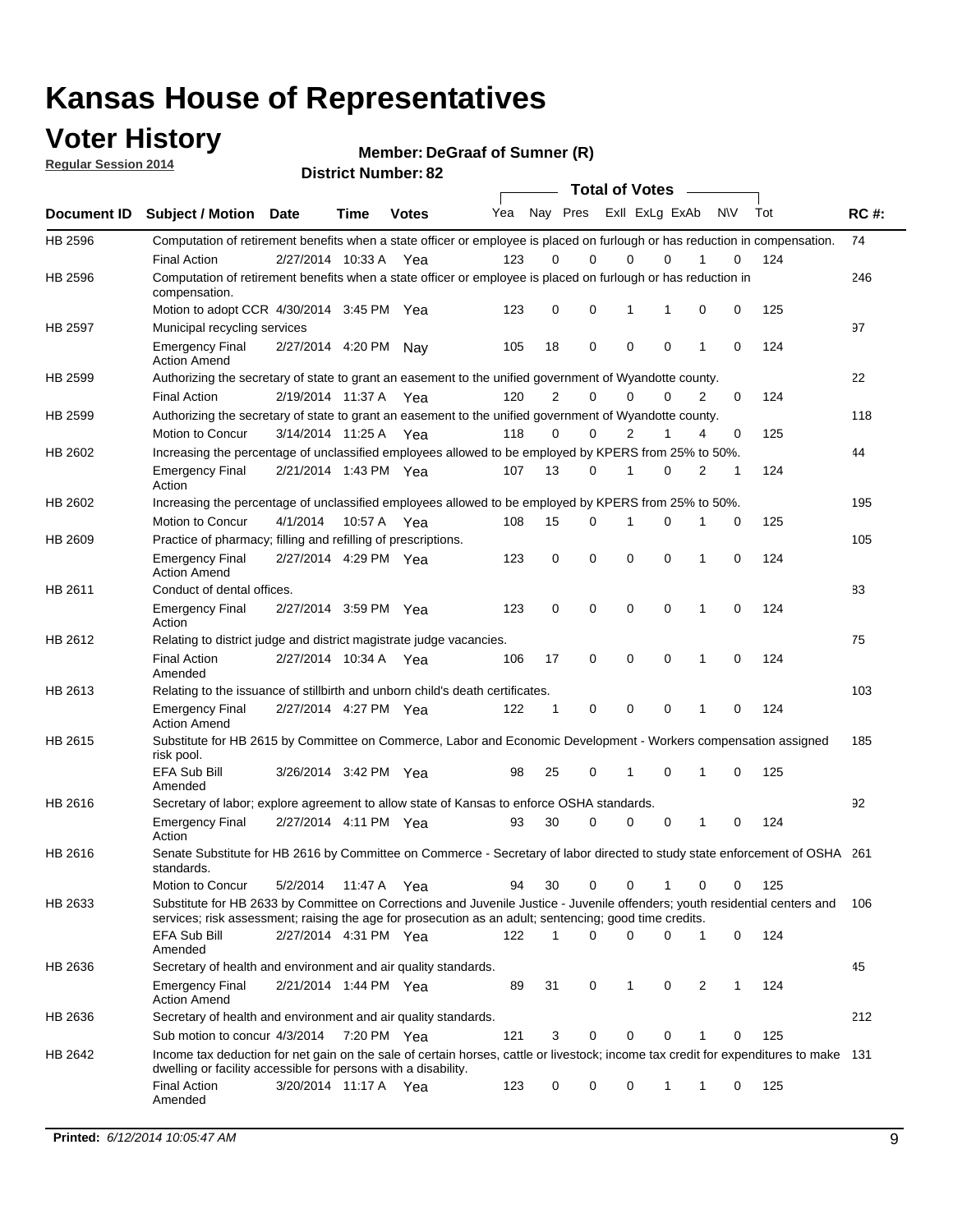### **Voter History**

**Regular Session 2014**

**DeGraaf of Sumner (R)**

|             |                                                                                                                                                                                                                                       |                       |             |              |     |                | <b>Total of Votes</b>   |             |             |              |           |     |             |
|-------------|---------------------------------------------------------------------------------------------------------------------------------------------------------------------------------------------------------------------------------------|-----------------------|-------------|--------------|-----|----------------|-------------------------|-------------|-------------|--------------|-----------|-----|-------------|
| Document ID | <b>Subject / Motion Date</b>                                                                                                                                                                                                          |                       | <b>Time</b> | <b>Votes</b> | Yea |                | Nay Pres Exll ExLg ExAb |             |             |              | <b>NV</b> | Tot | <b>RC#:</b> |
| HB 2596     | Computation of retirement benefits when a state officer or employee is placed on furlough or has reduction in compensation.<br><b>Final Action</b>                                                                                    | 2/27/2014 10:33 A     |             | Yea          | 123 | 0              | 0                       | $\mathbf 0$ | $\Omega$    |              | 0         | 124 | 74          |
| HB 2596     | Computation of retirement benefits when a state officer or employee is placed on furlough or has reduction in<br>compensation.                                                                                                        |                       |             |              |     |                |                         |             |             |              |           |     | 246         |
|             | Motion to adopt CCR 4/30/2014 3:45 PM Yea                                                                                                                                                                                             |                       |             |              | 123 | 0              | 0                       | 1           | 1           | 0            | 0         | 125 |             |
| HB 2597     | Municipal recycling services                                                                                                                                                                                                          |                       |             |              |     |                |                         |             |             |              |           |     | 97          |
|             | <b>Emergency Final</b><br><b>Action Amend</b>                                                                                                                                                                                         | 2/27/2014 4:20 PM Nay |             |              | 105 | 18             | 0                       | $\mathbf 0$ | 0           | $\mathbf{1}$ | 0         | 124 |             |
| HB 2599     | Authorizing the secretary of state to grant an easement to the unified government of Wyandotte county.                                                                                                                                |                       |             |              |     |                |                         |             |             |              |           |     | 22          |
|             | <b>Final Action</b>                                                                                                                                                                                                                   | 2/19/2014 11:37 A     |             | Yea          | 120 | $\overline{2}$ | 0                       | 0           | $\mathbf 0$ | 2            | 0         | 124 |             |
| HB 2599     | Authorizing the secretary of state to grant an easement to the unified government of Wyandotte county.                                                                                                                                |                       |             |              |     |                |                         |             |             |              |           |     | 118         |
|             | Motion to Concur                                                                                                                                                                                                                      | 3/14/2014 11:25 A     |             | Yea          | 118 | 0              | 0                       | 2           | 1           | 4            | 0         | 125 |             |
| HB 2602     | Increasing the percentage of unclassified employees allowed to be employed by KPERS from 25% to 50%.                                                                                                                                  |                       |             |              |     |                |                         |             |             |              |           |     | 44          |
|             | <b>Emergency Final</b><br>Action                                                                                                                                                                                                      | 2/21/2014 1:43 PM Yea |             |              | 107 | 13             | 0                       | 1           | 0           | 2            | 1         | 124 |             |
| HB 2602     | Increasing the percentage of unclassified employees allowed to be employed by KPERS from 25% to 50%.                                                                                                                                  |                       |             |              |     |                |                         |             |             |              |           |     | 195         |
|             | Motion to Concur                                                                                                                                                                                                                      | 4/1/2014              | 10:57 A     | Yea          | 108 | 15             | 0                       | 1           | $\mathbf 0$ | 1            | 0         | 125 |             |
| HB 2609     | Practice of pharmacy; filling and refilling of prescriptions.                                                                                                                                                                         |                       |             |              |     |                |                         |             |             |              |           |     | 105         |
|             | <b>Emergency Final</b><br><b>Action Amend</b>                                                                                                                                                                                         | 2/27/2014 4:29 PM Yea |             |              | 123 | $\mathbf 0$    | $\mathbf 0$             | $\mathbf 0$ | $\mathbf 0$ | 1            | $\Omega$  | 124 |             |
| HB 2611     | Conduct of dental offices.                                                                                                                                                                                                            |                       |             |              |     |                |                         |             |             |              |           |     | 83          |
|             | <b>Emergency Final</b><br>Action                                                                                                                                                                                                      | 2/27/2014 3:59 PM Yea |             |              | 123 | 0              | 0                       | $\mathbf 0$ | $\mathbf 0$ | 1            | 0         | 124 |             |
| HB 2612     | Relating to district judge and district magistrate judge vacancies.                                                                                                                                                                   |                       |             |              |     |                |                         |             |             |              |           |     | 75          |
|             | <b>Final Action</b><br>Amended                                                                                                                                                                                                        | 2/27/2014 10:34 A     |             | Yea          | 106 | 17             | 0                       | $\mathbf 0$ | $\mathbf 0$ | 1            | 0         | 124 |             |
| HB 2613     | Relating to the issuance of stillbirth and unborn child's death certificates.                                                                                                                                                         |                       |             |              |     |                |                         |             |             |              |           |     | 103         |
|             | <b>Emergency Final</b><br><b>Action Amend</b>                                                                                                                                                                                         | 2/27/2014 4:27 PM Yea |             |              | 122 | $\mathbf 1$    | 0                       | $\mathbf 0$ | 0           | 1            | 0         | 124 |             |
| HB 2615     | Substitute for HB 2615 by Committee on Commerce, Labor and Economic Development - Workers compensation assigned<br>risk pool.                                                                                                         |                       |             |              |     |                |                         |             |             |              |           |     | 185         |
|             | EFA Sub Bill<br>Amended                                                                                                                                                                                                               | 3/26/2014 3:42 PM Yea |             |              | 98  | 25             | 0                       | 1           | 0           | 1            | 0         | 125 |             |
| HB 2616     | Secretary of labor; explore agreement to allow state of Kansas to enforce OSHA standards.                                                                                                                                             |                       |             |              |     |                |                         |             |             |              |           |     | 92          |
|             | <b>Emergency Final</b><br>Action                                                                                                                                                                                                      | 2/27/2014 4:11 PM Yea |             |              | 93  | 30             | $\Omega$                | $\mathbf 0$ | 0           | 1            | 0         | 124 |             |
| HB 2616     | Senate Substitute for HB 2616 by Committee on Commerce - Secretary of labor directed to study state enforcement of OSHA 261<br>standards.                                                                                             |                       |             |              |     |                |                         |             |             |              |           |     |             |
|             | Motion to Concur                                                                                                                                                                                                                      | 5/2/2014 11:47 A      |             | Yea          | 94  | 30             | 0                       | $\mathbf 0$ | 1           | 0            | 0         | 125 |             |
| HB 2633     | Substitute for HB 2633 by Committee on Corrections and Juvenile Justice - Juvenile offenders; youth residential centers and<br>services; risk assessment; raising the age for prosecution as an adult; sentencing; good time credits. |                       |             |              |     |                |                         |             |             |              |           |     | - 106       |
|             | EFA Sub Bill<br>Amended                                                                                                                                                                                                               | 2/27/2014 4:31 PM Yea |             |              | 122 | 1              | 0                       | 0           | 0           | 1            | 0         | 124 |             |
| HB 2636     | Secretary of health and environment and air quality standards.                                                                                                                                                                        |                       |             |              |     |                |                         |             |             |              |           |     | 45          |
|             | <b>Emergency Final</b><br><b>Action Amend</b>                                                                                                                                                                                         | 2/21/2014 1:44 PM Yea |             |              | 89  | 31             | 0                       | 1           | 0           | 2            |           | 124 |             |
| HB 2636     | Secretary of health and environment and air quality standards.                                                                                                                                                                        |                       |             |              |     |                |                         |             |             |              |           |     | 212         |
|             | Sub motion to concur 4/3/2014                                                                                                                                                                                                         |                       | 7:20 PM Yea |              | 121 | 3              | 0                       | 0           | 0           | 1            | 0         | 125 |             |
| HB 2642     | Income tax deduction for net gain on the sale of certain horses, cattle or livestock; income tax credit for expenditures to make 131<br>dwelling or facility accessible for persons with a disability.                                |                       |             |              |     |                |                         |             |             |              |           |     |             |
|             | <b>Final Action</b><br>Amended                                                                                                                                                                                                        | 3/20/2014 11:17 A Yea |             |              | 123 | 0              | 0                       | 0           | 1           | 1            | 0         | 125 |             |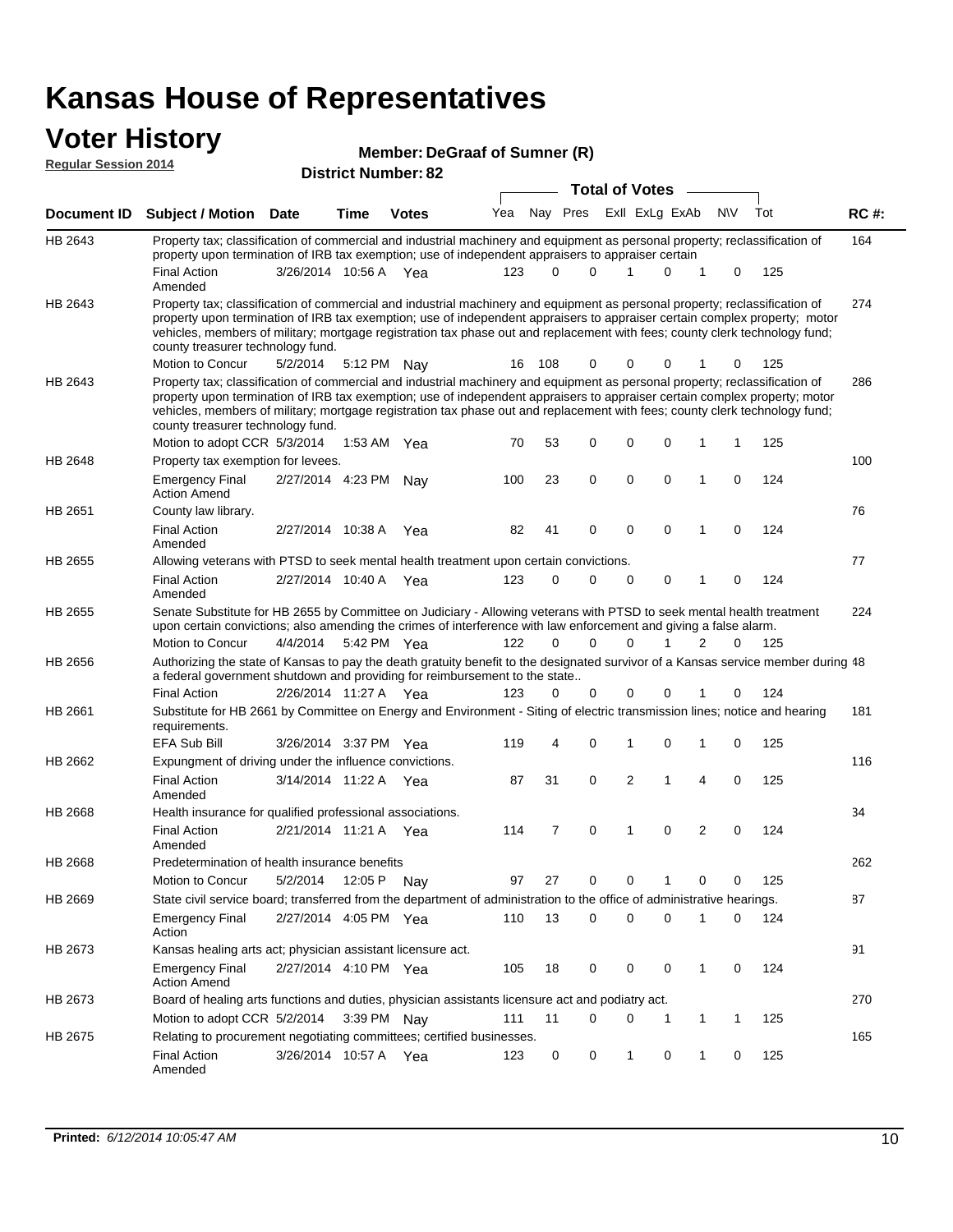### **Voter History**

| <b>Regular Session 2014</b> | ,, , ,, , , ,                                                                                                                                                                                                                                                                                                                                                                                                                 |                       |             | Member: DeGraaf of Sumner (R) |     |          |              |                       |             |   |           |     |             |
|-----------------------------|-------------------------------------------------------------------------------------------------------------------------------------------------------------------------------------------------------------------------------------------------------------------------------------------------------------------------------------------------------------------------------------------------------------------------------|-----------------------|-------------|-------------------------------|-----|----------|--------------|-----------------------|-------------|---|-----------|-----|-------------|
|                             |                                                                                                                                                                                                                                                                                                                                                                                                                               |                       |             | <b>District Number: 82</b>    |     |          |              |                       |             |   |           |     |             |
|                             |                                                                                                                                                                                                                                                                                                                                                                                                                               |                       |             |                               |     |          |              | <b>Total of Votes</b> |             |   |           |     |             |
| Document ID                 | <b>Subject / Motion Date</b>                                                                                                                                                                                                                                                                                                                                                                                                  |                       | Time        | <b>Votes</b>                  | Yea |          | Nay Pres     | Exll ExLg ExAb        |             |   | <b>NV</b> | Tot | <b>RC#:</b> |
| HB 2643                     | Property tax; classification of commercial and industrial machinery and equipment as personal property; reclassification of<br>property upon termination of IRB tax exemption; use of independent appraisers to appraiser certain                                                                                                                                                                                             |                       |             |                               |     |          |              |                       |             |   |           |     | 164         |
|                             | <b>Final Action</b><br>Amended                                                                                                                                                                                                                                                                                                                                                                                                | 3/26/2014 10:56 A Yea |             |                               | 123 |          | <sup>0</sup> |                       | 0           |   | 0         | 125 |             |
| HB 2643                     | Property tax; classification of commercial and industrial machinery and equipment as personal property; reclassification of<br>property upon termination of IRB tax exemption; use of independent appraisers to appraiser certain complex property; motor<br>vehicles, members of military; mortgage registration tax phase out and replacement with fees; county clerk technology fund;<br>county treasurer technology fund. |                       |             |                               |     |          |              |                       |             |   |           |     | 274         |
|                             | Motion to Concur                                                                                                                                                                                                                                                                                                                                                                                                              | 5/2/2014              | 5:12 PM Nay |                               |     | 16 108   | 0            | 0                     | 0           |   | 0         | 125 |             |
| <b>HB 2643</b>              | Property tax; classification of commercial and industrial machinery and equipment as personal property; reclassification of<br>property upon termination of IRB tax exemption; use of independent appraisers to appraiser certain complex property; motor<br>vehicles, members of military; mortgage registration tax phase out and replacement with fees; county clerk technology fund;<br>county treasurer technology fund. |                       |             |                               |     |          |              |                       |             |   |           |     | 286         |
|                             | Motion to adopt CCR 5/3/2014                                                                                                                                                                                                                                                                                                                                                                                                  |                       | 1:53 AM Yea |                               | 70  | 53       | 0            | 0                     | 0           |   |           | 125 |             |
| <b>HB 2648</b>              | Property tax exemption for levees.                                                                                                                                                                                                                                                                                                                                                                                            |                       |             |                               |     |          |              |                       |             |   |           |     | 100         |
|                             | <b>Emergency Final</b><br><b>Action Amend</b>                                                                                                                                                                                                                                                                                                                                                                                 | 2/27/2014 4:23 PM     |             | Nav                           | 100 | 23       | 0            | 0                     | $\mathbf 0$ | 1 | 0         | 124 |             |
| HB 2651                     | County law library.                                                                                                                                                                                                                                                                                                                                                                                                           |                       |             |                               |     |          |              |                       |             |   |           |     | 76          |
|                             | <b>Final Action</b><br>Amended                                                                                                                                                                                                                                                                                                                                                                                                | 2/27/2014 10:38 A     |             | Yea                           | 82  | 41       | $\Omega$     | 0                     | $\Omega$    | 1 | $\Omega$  | 124 |             |
| HB 2655                     | Allowing veterans with PTSD to seek mental health treatment upon certain convictions.                                                                                                                                                                                                                                                                                                                                         |                       |             |                               |     |          |              |                       |             |   |           |     | 77          |
|                             | <b>Final Action</b><br>Amended                                                                                                                                                                                                                                                                                                                                                                                                | 2/27/2014 10:40 A Yea |             |                               | 123 | $\Omega$ | $\Omega$     | 0                     | $\Omega$    | 1 | 0         | 124 |             |
| HB 2655                     | Senate Substitute for HB 2655 by Committee on Judiciary - Allowing veterans with PTSD to seek mental health treatment<br>upon certain convictions; also amending the crimes of interference with law enforcement and giving a false alarm.                                                                                                                                                                                    |                       |             |                               |     |          |              |                       |             |   |           |     | 224         |
|                             | Motion to Concur                                                                                                                                                                                                                                                                                                                                                                                                              | 4/4/2014              | 5:42 PM Yea |                               | 122 | $\Omega$ | $\Omega$     | $\Omega$              |             | 2 | 0         | 125 |             |
| <b>HB 2656</b>              | Authorizing the state of Kansas to pay the death gratuity benefit to the designated survivor of a Kansas service member during 48<br>a federal government shutdown and providing for reimbursement to the state                                                                                                                                                                                                               |                       |             |                               |     |          |              |                       |             |   |           |     |             |
|                             | Einal Action                                                                                                                                                                                                                                                                                                                                                                                                                  |                       |             |                               |     |          |              |                       |             |   |           |     |             |

2/26/2014 Final Action Yea 124 11:27 A 123 0 0 0 10 0 Substitute for HB 2661 by Committee on Energy and Environment - Siting of electric transmission lines; notice and hearing requirements.

|         | <b>EFA Sub Bill</b>                                                                                                    |                       | 3/26/2014 3:37 PM Yea |     | 119 | 4              | $\Omega$    |          | 0        |          | $\mathbf 0$ | 125 |     |
|---------|------------------------------------------------------------------------------------------------------------------------|-----------------------|-----------------------|-----|-----|----------------|-------------|----------|----------|----------|-------------|-----|-----|
| HB 2662 | Expungment of driving under the influence convictions.                                                                 |                       |                       |     |     |                |             |          |          |          |             |     | 116 |
|         | <b>Final Action</b><br>Amended                                                                                         | 3/14/2014 11:22 A     |                       | Yea | 87  | 31             | $\Omega$    | 2        | 1        | 4        | $\Omega$    | 125 |     |
| HB 2668 | Health insurance for qualified professional associations.                                                              |                       |                       |     |     |                |             |          |          |          |             |     | 34  |
|         | <b>Final Action</b><br>Amended                                                                                         | 2/21/2014 11:21 A     |                       | Yea | 114 | $\overline{7}$ | $\Omega$    |          | $\Omega$ | 2        | $\Omega$    | 124 |     |
| HB 2668 | Predetermination of health insurance benefits                                                                          |                       |                       |     |     |                |             |          |          |          |             |     | 262 |
|         | Motion to Concur                                                                                                       | 5/2/2014              | 12:05 P               | Nay | 97  | 27             | $\Omega$    | 0        |          | $\Omega$ | $\Omega$    | 125 |     |
| HB 2669 | State civil service board; transferred from the department of administration to the office of administrative hearings. |                       |                       |     |     |                |             |          |          |          |             |     | 87  |
|         | <b>Emergency Final</b><br>Action                                                                                       | 2/27/2014 4:05 PM Yea |                       |     | 110 | 13             | $\Omega$    | $\Omega$ | $\Omega$ | 1        | $\Omega$    | 124 |     |
| HB 2673 | Kansas healing arts act; physician assistant licensure act.                                                            |                       |                       |     |     |                |             |          |          |          |             |     | 91  |
|         | <b>Emergency Final</b><br><b>Action Amend</b>                                                                          | 2/27/2014 4:10 PM Yea |                       |     | 105 | 18             | $\Omega$    | $\Omega$ | $\Omega$ |          | $\Omega$    | 124 |     |
| HB 2673 | Board of healing arts functions and duties, physician assistants licensure act and podiatry act.                       |                       |                       |     |     |                |             |          |          |          |             |     | 270 |
|         | Motion to adopt CCR 5/2/2014                                                                                           |                       | $3:39$ PM Nay         |     | 111 | 11             | $\mathbf 0$ | $\Omega$ |          |          | 1           | 125 |     |
| HB 2675 | Relating to procurement negotiating committees; certified businesses.                                                  |                       |                       |     |     |                |             |          |          |          |             | 165 |     |
|         | <b>Final Action</b><br>Amended                                                                                         | 3/26/2014             | 10:57 A               | Yea | 123 | 0              | $\Omega$    |          | 0        |          | $\Omega$    | 125 |     |

HB 2661

181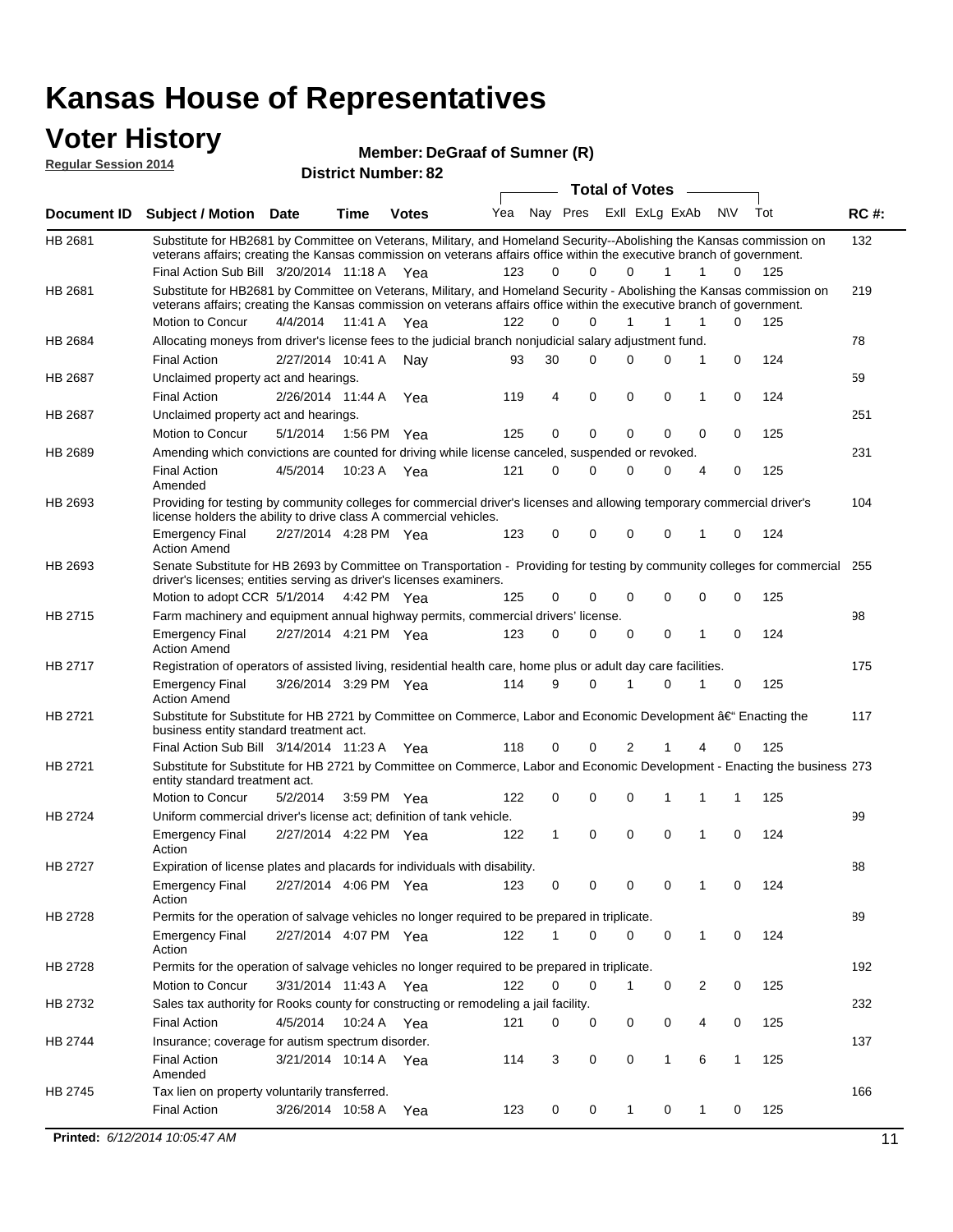#### **Voter History Regular Session 2014**

**DeGraaf of Sumner (R)**

|             | noguidi ocoololi 4017                                                                                                                                                                                                                                                                         |                       |             | <b>District Number: 82</b> |     |          |             |             |                       |        |              |     |             |
|-------------|-----------------------------------------------------------------------------------------------------------------------------------------------------------------------------------------------------------------------------------------------------------------------------------------------|-----------------------|-------------|----------------------------|-----|----------|-------------|-------------|-----------------------|--------|--------------|-----|-------------|
|             |                                                                                                                                                                                                                                                                                               |                       |             |                            |     |          |             |             | <b>Total of Votes</b> | $\sim$ |              |     |             |
| Document ID | <b>Subject / Motion Date</b>                                                                                                                                                                                                                                                                  |                       | <b>Time</b> | <b>Votes</b>               | Yea | Nay Pres |             |             | ExII ExLg ExAb        |        | N\V          | Tot | <b>RC#:</b> |
| HB 2681     | Substitute for HB2681 by Committee on Veterans, Military, and Homeland Security--Abolishing the Kansas commission on<br>veterans affairs; creating the Kansas commission on veterans affairs office within the executive branch of government.<br>Final Action Sub Bill 3/20/2014 11:18 A Yea |                       |             |                            | 123 | $\Omega$ | 0           | 0           | 1                     | 1      | 0            | 125 | 132         |
| HB 2681     | Substitute for HB2681 by Committee on Veterans, Military, and Homeland Security - Abolishing the Kansas commission on<br>veterans affairs; creating the Kansas commission on veterans affairs office within the executive branch of government.                                               |                       |             |                            |     |          |             |             |                       |        |              |     | 219         |
|             | Motion to Concur                                                                                                                                                                                                                                                                              | 4/4/2014              | 11:41 A     | Yea                        | 122 | $\Omega$ | 0           | 1           | 1                     | 1      | 0            | 125 |             |
| HB 2684     | Allocating moneys from driver's license fees to the judicial branch nonjudicial salary adjustment fund.                                                                                                                                                                                       |                       |             |                            |     |          |             |             |                       |        |              |     | 78          |
|             | <b>Final Action</b>                                                                                                                                                                                                                                                                           | 2/27/2014 10:41 A     |             | Nav                        | 93  | 30       | 0           | $\Omega$    | 0                     | 1      | 0            | 124 |             |
| HB 2687     | Unclaimed property act and hearings.                                                                                                                                                                                                                                                          |                       |             |                            |     |          |             |             |                       |        |              |     | 59          |
|             | <b>Final Action</b>                                                                                                                                                                                                                                                                           | 2/26/2014 11:44 A     |             | Yea                        | 119 | 4        | $\mathbf 0$ | 0           | 0                     | 1      | 0            | 124 |             |
| HB 2687     | Unclaimed property act and hearings.                                                                                                                                                                                                                                                          |                       |             |                            |     |          |             |             |                       |        |              |     | 251         |
|             | Motion to Concur                                                                                                                                                                                                                                                                              | 5/1/2014              | 1:56 PM     | Yea                        | 125 | 0        | 0           | 0           | $\mathbf 0$           | 0      | 0            | 125 |             |
| HB 2689     | Amending which convictions are counted for driving while license canceled, suspended or revoked.                                                                                                                                                                                              |                       |             |                            |     |          |             |             |                       |        |              |     | 231         |
|             | <b>Final Action</b><br>Amended                                                                                                                                                                                                                                                                | 4/5/2014              | 10:23 A     | Yea                        | 121 | 0        | 0           | $\Omega$    | 0                     | 4      | 0            | 125 |             |
| HB 2693     | Providing for testing by community colleges for commercial driver's licenses and allowing temporary commercial driver's<br>license holders the ability to drive class A commercial vehicles.                                                                                                  |                       |             |                            |     |          |             |             |                       |        |              |     | 104         |
|             | Emergency Final<br><b>Action Amend</b>                                                                                                                                                                                                                                                        | 2/27/2014 4:28 PM Yea |             |                            | 123 | 0        | 0           | $\Omega$    | $\mathbf 0$           | 1      | 0            | 124 |             |
| HB 2693     | Senate Substitute for HB 2693 by Committee on Transportation - Providing for testing by community colleges for commercial 255<br>driver's licenses; entities serving as driver's licenses examiners.<br>Motion to adopt CCR 5/1/2014 4:42 PM Yea                                              |                       |             |                            |     | 0        | 0           | 0           | 0                     | 0      | 0            | 125 |             |
|             |                                                                                                                                                                                                                                                                                               |                       |             |                            | 125 |          |             |             |                       |        |              |     |             |
| HB 2715     | Farm machinery and equipment annual highway permits, commercial drivers' license.<br>Emergency Final<br><b>Action Amend</b>                                                                                                                                                                   | 2/27/2014 4:21 PM Yea |             |                            | 123 | 0        | 0           | 0           | 0                     | 1      | 0            | 124 | 98          |
| HB 2717     | Registration of operators of assisted living, residential health care, home plus or adult day care facilities.                                                                                                                                                                                |                       |             |                            |     |          |             |             |                       |        |              |     | 175         |
|             | Emergency Final<br>Action Amend                                                                                                                                                                                                                                                               | 3/26/2014 3:29 PM Yea |             |                            | 114 | 9        | 0           |             | 0                     |        | 0            | 125 |             |
| HB 2721     | Substitute for Substitute for HB 2721 by Committee on Commerce, Labor and Economic Development †Enacting the<br>business entity standard treatment act.                                                                                                                                       |                       |             |                            |     |          |             |             |                       |        |              |     | 117         |
|             | Final Action Sub Bill 3/14/2014 11:23 A Yea                                                                                                                                                                                                                                                   |                       |             |                            | 118 | 0        | 0           | 2           |                       | 4      | 0            | 125 |             |
| HB 2721     | Substitute for Substitute for HB 2721 by Committee on Commerce, Labor and Economic Development - Enacting the business 273<br>entity standard treatment act.                                                                                                                                  |                       |             |                            |     |          |             |             |                       |        |              |     |             |
|             | Motion to Concur                                                                                                                                                                                                                                                                              | 5/2/2014              | 3:59 PM     | Yea                        | 122 | 0        | 0           | $\mathbf 0$ | 1                     | 1      | 1            | 125 |             |
| HB 2724     | Uniform commercial driver's license act; definition of tank vehicle.<br><b>Emergency Final</b>                                                                                                                                                                                                |                       |             | 2/27/2014 4:22 PM Yea      | 122 | 1        | 0           | 0           | $\mathbf 0$           | 1      | 0            | 124 | 99          |
| HB 2727     | Action<br>Expiration of license plates and placards for individuals with disability.                                                                                                                                                                                                          |                       |             |                            |     |          |             |             |                       |        |              |     | 88          |
|             | Emergency Final<br>Action                                                                                                                                                                                                                                                                     | 2/27/2014 4:06 PM Yea |             |                            | 123 | 0        | 0           | 0           | 0                     | 1      | 0            | 124 |             |
| HB 2728     | Permits for the operation of salvage vehicles no longer required to be prepared in triplicate.                                                                                                                                                                                                |                       |             |                            |     |          |             |             |                       |        |              |     | 89          |
|             | Emergency Final<br>Action                                                                                                                                                                                                                                                                     |                       |             | 2/27/2014 4:07 PM Yea      | 122 |          | 0           | 0           | 0                     | 1      | 0            | 124 |             |
| HB 2728     | Permits for the operation of salvage vehicles no longer required to be prepared in triplicate.                                                                                                                                                                                                |                       |             |                            |     |          |             |             |                       |        |              |     | 192         |
|             | Motion to Concur                                                                                                                                                                                                                                                                              |                       |             | 3/31/2014 11:43 A Yea      | 122 | 0        | 0           | 1           | 0                     | 2      | 0            | 125 |             |
| HB 2732     | Sales tax authority for Rooks county for constructing or remodeling a jail facility.                                                                                                                                                                                                          |                       |             |                            |     |          |             |             |                       |        |              |     | 232         |
|             | Final Action                                                                                                                                                                                                                                                                                  | 4/5/2014              |             | 10:24 A Yea                | 121 | 0        | 0           | 0           | 0                     | 4      | 0            | 125 |             |
| HB 2744     | Insurance; coverage for autism spectrum disorder.                                                                                                                                                                                                                                             |                       |             |                            |     |          |             |             |                       |        |              |     | 137         |
|             | <b>Final Action</b><br>Amended                                                                                                                                                                                                                                                                |                       |             | 3/21/2014 10:14 A Yea      | 114 | 3        | 0           | 0           | 1                     | 6      | $\mathbf{1}$ | 125 |             |
| HB 2745     | Tax lien on property voluntarily transferred.                                                                                                                                                                                                                                                 |                       |             |                            |     |          |             |             |                       |        |              |     | 166         |
|             | <b>Final Action</b>                                                                                                                                                                                                                                                                           | 3/26/2014 10:58 A     |             | Yea                        | 123 | 0        | 0           | $\mathbf 1$ | 0                     | 1      | 0            | 125 |             |
|             | Printed: 6/12/2014 10:05:47 AM                                                                                                                                                                                                                                                                |                       |             |                            |     |          |             |             |                       |        |              |     | 11          |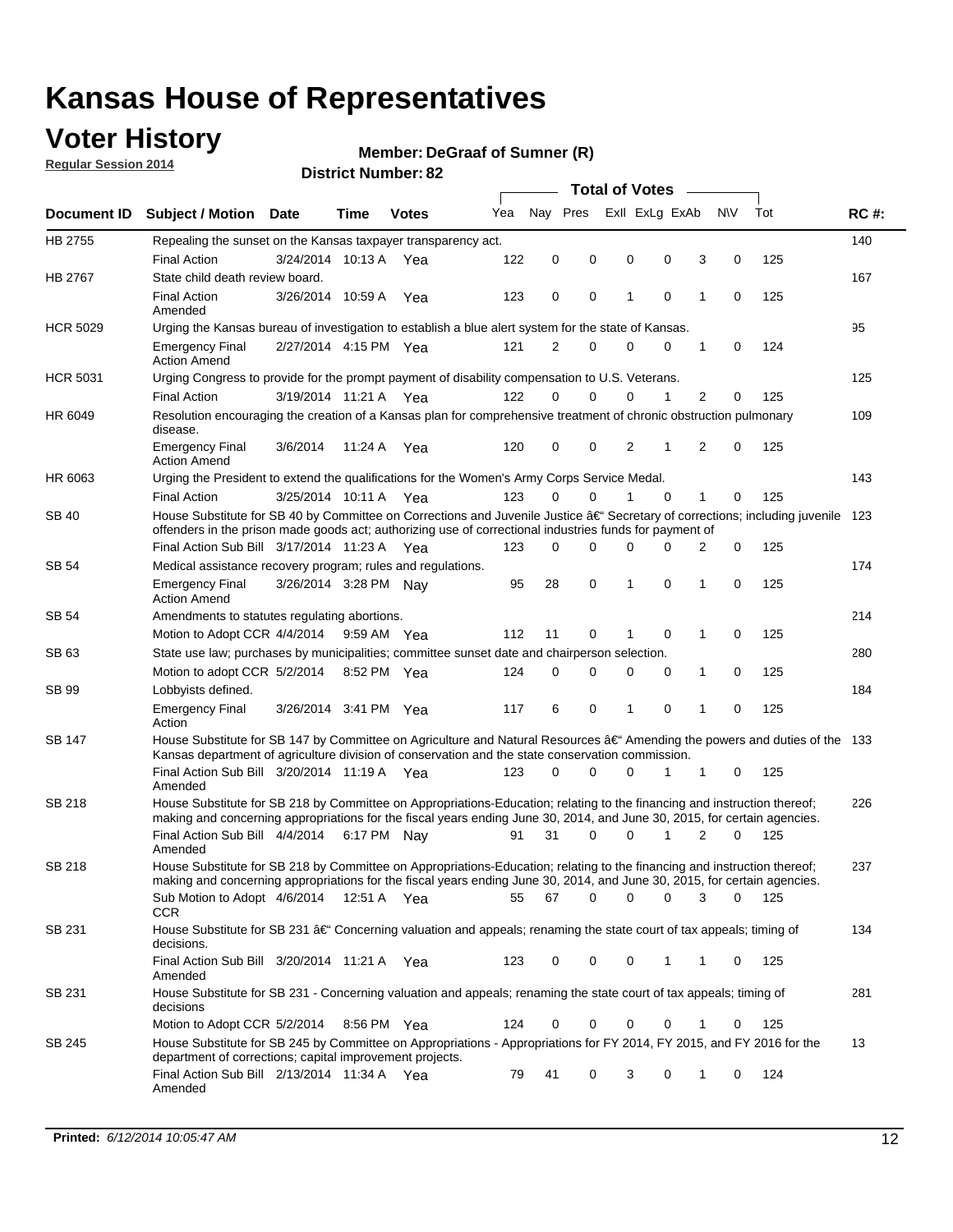### **Voter History**

**Regular Session 2014**

#### **DeGraaf of Sumner (R)**

|                 |                                                                                                                                                                                                                                                      |                       |             |              |     |          |   | <b>Total of Votes</b> |             |                  |             |       |             |
|-----------------|------------------------------------------------------------------------------------------------------------------------------------------------------------------------------------------------------------------------------------------------------|-----------------------|-------------|--------------|-----|----------|---|-----------------------|-------------|------------------|-------------|-------|-------------|
| Document ID     | <b>Subject / Motion Date</b>                                                                                                                                                                                                                         |                       | <b>Time</b> | <b>Votes</b> | Yea | Nav Pres |   |                       |             | Exll ExLg ExAb   | N\V         | Tot   | <b>RC#:</b> |
| HB 2755         | Repealing the sunset on the Kansas taxpayer transparency act.                                                                                                                                                                                        |                       |             |              |     |          |   |                       |             |                  |             |       | 140         |
|                 | <b>Final Action</b>                                                                                                                                                                                                                                  | 3/24/2014 10:13 A     |             | Yea          | 122 | 0        | 0 | 0                     | 0           | 3                | 0           | 125   |             |
| HB 2767         | State child death review board.                                                                                                                                                                                                                      |                       |             |              |     |          |   |                       |             |                  |             |       | 167         |
|                 | <b>Final Action</b><br>Amended                                                                                                                                                                                                                       | 3/26/2014 10:59 A     |             | Yea          | 123 | 0        | 0 | 1                     | $\mathbf 0$ | 1                | 0           | 125   |             |
| <b>HCR 5029</b> | Urging the Kansas bureau of investigation to establish a blue alert system for the state of Kansas.                                                                                                                                                  |                       |             |              |     |          |   |                       |             |                  |             |       | 95          |
|                 | <b>Emergency Final</b><br><b>Action Amend</b>                                                                                                                                                                                                        | 2/27/2014 4:15 PM Yea |             |              | 121 | 2        | 0 | 0                     | $\mathbf 0$ | 1                | 0           | 124   |             |
| <b>HCR 5031</b> | Urging Congress to provide for the prompt payment of disability compensation to U.S. Veterans.                                                                                                                                                       |                       |             |              |     |          |   |                       |             |                  |             |       | 125         |
|                 | <b>Final Action</b>                                                                                                                                                                                                                                  | 3/19/2014 11:21 A Yea |             |              | 122 | $\Omega$ | 0 | 0                     | 1           | 2                | 0           | 125   |             |
| HR 6049         | Resolution encouraging the creation of a Kansas plan for comprehensive treatment of chronic obstruction pulmonary<br>disease.                                                                                                                        |                       |             |              |     |          |   |                       |             |                  |             |       | 109         |
|                 | <b>Emergency Final</b><br><b>Action Amend</b>                                                                                                                                                                                                        | 3/6/2014              | 11:24 A     | Yea          | 120 | 0        | 0 | 2                     | 1           | $\overline{2}$   | 0           | 125   |             |
| HR 6063         | Urging the President to extend the qualifications for the Women's Army Corps Service Medal.                                                                                                                                                          |                       |             |              |     |          |   |                       |             |                  |             |       | 143         |
|                 | <b>Final Action</b>                                                                                                                                                                                                                                  | 3/25/2014 10:11 A Yea |             |              | 123 | $\Omega$ | 0 | 1                     | $\Omega$    | 1                | $\mathbf 0$ | 125   |             |
| SB 40           | House Substitute for SB 40 by Committee on Corrections and Juvenile Justice †Secretary of corrections; including juvenile<br>offenders in the prison made goods act; authorizing use of correctional industries funds for payment of                 |                       |             |              |     |          |   |                       |             |                  |             |       | 123         |
|                 | Final Action Sub Bill 3/17/2014 11:23 A Yea                                                                                                                                                                                                          |                       |             |              | 123 | $\Omega$ | 0 | 0                     | $\Omega$    | 2                | 0           | 125   |             |
| SB 54           | Medical assistance recovery program; rules and regulations.                                                                                                                                                                                          |                       |             |              |     |          |   |                       |             |                  |             |       | 174         |
|                 | <b>Emergency Final</b><br><b>Action Amend</b>                                                                                                                                                                                                        | 3/26/2014 3:28 PM Nay |             |              | 95  | 28       | 0 | 1                     |             | $\mathbf 0$<br>1 | 0           | 125   |             |
| SB 54           | Amendments to statutes regulating abortions.                                                                                                                                                                                                         |                       |             |              |     |          |   |                       |             |                  |             |       | 214         |
|                 | Motion to Adopt CCR 4/4/2014 9:59 AM Yea                                                                                                                                                                                                             |                       |             |              | 112 | 11       | 0 |                       | $\mathbf 0$ | 1                | 0           | 125   |             |
| SB 63           | State use law; purchases by municipalities; committee sunset date and chairperson selection.                                                                                                                                                         |                       |             |              |     |          |   |                       |             |                  |             |       | 280         |
|                 | Motion to adopt CCR 5/2/2014 8:52 PM Yea                                                                                                                                                                                                             |                       |             |              | 124 | 0        | 0 | 0                     | 0           | 1                | 0           | 125   |             |
| SB 99           | Lobbyists defined.                                                                                                                                                                                                                                   |                       |             |              |     |          |   |                       |             |                  |             |       | 184         |
|                 | <b>Emergency Final</b><br>Action                                                                                                                                                                                                                     | 3/26/2014 3:41 PM Yea |             |              | 117 | 6        | 0 | 1                     | $\mathbf 0$ | 1                | 0           | 125   |             |
| SB 147          | House Substitute for SB 147 by Committee on Agriculture and Natural Resources †Amending the powers and duties of the 133<br>Kansas department of agriculture division of conservation and the state conservation commission.                         |                       |             |              |     |          |   |                       |             |                  |             |       |             |
|                 | Final Action Sub Bill 3/20/2014 11:19 A Yea<br>Amended                                                                                                                                                                                               |                       |             |              | 123 | $\Omega$ | 0 | 0                     | 1           | 1                | 0           | 125   |             |
| <b>SB 218</b>   | House Substitute for SB 218 by Committee on Appropriations-Education; relating to the financing and instruction thereof;<br>making and concerning appropriations for the fiscal years ending June 30, 2014, and June 30, 2015, for certain agencies. |                       |             |              |     |          |   |                       |             |                  |             |       | 226         |
|                 | Final Action Sub Bill 4/4/2014 6:17 PM Nay<br>Amended                                                                                                                                                                                                |                       |             |              | 91  | 31       | 0 | 0                     | 1           | $\overline{2}$   | $\Omega$    | 125   |             |
| SB 218          | House Substitute for SB 218 by Committee on Appropriations-Education; relating to the financing and instruction thereof;                                                                                                                             |                       |             |              |     |          |   |                       |             |                  |             |       | 237         |
|                 | making and concerning appropriations for the fiscal years ending June 30, 2014, and June 30, 2015, for certain agencies.<br>Sub Motion to Adopt 4/6/2014 12:51 A Yea<br><b>CCR</b>                                                                   |                       |             |              | 55  | 67       | 0 | 0                     |             | 0<br>3           | 0           | - 125 |             |
| SB 231          | House Substitute for SB 231 †Concerning valuation and appeals; renaming the state court of tax appeals; timing of<br>decisions.                                                                                                                      |                       |             |              |     |          |   |                       |             |                  |             |       | 134         |
|                 | Final Action Sub Bill 3/20/2014 11:21 A Yea<br>Amended                                                                                                                                                                                               |                       |             |              | 123 | 0        | 0 | 0                     | 1           | 1                | 0           | 125   |             |
| SB 231          | House Substitute for SB 231 - Concerning valuation and appeals; renaming the state court of tax appeals; timing of<br>decisions                                                                                                                      |                       |             |              |     |          |   |                       |             |                  |             |       | 281         |
|                 | Motion to Adopt CCR 5/2/2014 8:56 PM Yea                                                                                                                                                                                                             |                       |             |              | 124 | 0        | 0 | 0                     | $\mathbf 0$ | 1                | 0           | 125   |             |
| SB 245          | House Substitute for SB 245 by Committee on Appropriations - Appropriations for FY 2014, FY 2015, and FY 2016 for the<br>department of corrections; capital improvement projects.                                                                    |                       |             |              |     |          |   |                       |             |                  |             |       | 13          |
|                 | Final Action Sub Bill 2/13/2014 11:34 A Yea<br>Amended                                                                                                                                                                                               |                       |             |              | 79  | 41       | 0 | 3                     |             | 0<br>1           | 0           | 124   |             |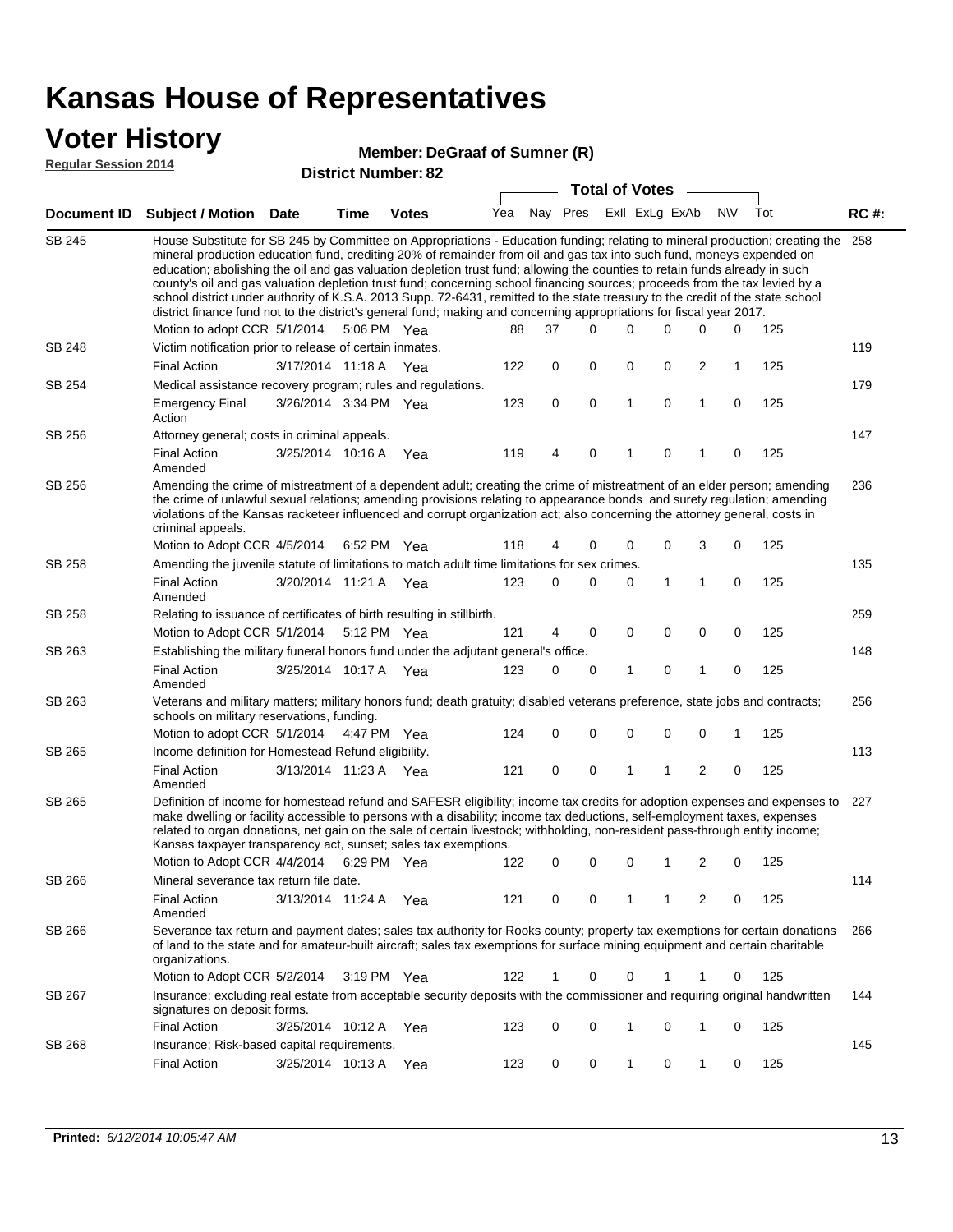SB 245

SB 248

SB 254

SB 256

SB 256

SB 258

SB 258

SB 263

| Voter History<br><b>Regular Session 2014</b> |                                                                                                                                                                                                                                                                                                                                                                                                                                                                                                                                                                                                                                                                                                                                                                               |                       |             | <b>District Number: 82</b> | Member: DeGraaf of Sumner (R) |             |             |                       |             |   |           |     |             |
|----------------------------------------------|-------------------------------------------------------------------------------------------------------------------------------------------------------------------------------------------------------------------------------------------------------------------------------------------------------------------------------------------------------------------------------------------------------------------------------------------------------------------------------------------------------------------------------------------------------------------------------------------------------------------------------------------------------------------------------------------------------------------------------------------------------------------------------|-----------------------|-------------|----------------------------|-------------------------------|-------------|-------------|-----------------------|-------------|---|-----------|-----|-------------|
|                                              |                                                                                                                                                                                                                                                                                                                                                                                                                                                                                                                                                                                                                                                                                                                                                                               |                       |             |                            |                               |             |             | <b>Total of Votes</b> |             |   |           |     |             |
| <b>Document ID</b>                           | <b>Subject / Motion Date</b>                                                                                                                                                                                                                                                                                                                                                                                                                                                                                                                                                                                                                                                                                                                                                  |                       | Time        | <b>Votes</b>               | Yea                           |             | Nay Pres    | Exll ExLg ExAb        |             |   | <b>NV</b> | Tot | <b>RC#:</b> |
| SB 245                                       | House Substitute for SB 245 by Committee on Appropriations - Education funding; relating to mineral production; creating the<br>mineral production education fund, crediting 20% of remainder from oil and gas tax into such fund, moneys expended on<br>education; abolishing the oil and gas valuation depletion trust fund; allowing the counties to retain funds already in such<br>county's oil and gas valuation depletion trust fund; concerning school financing sources; proceeds from the tax levied by a<br>school district under authority of K.S.A. 2013 Supp. 72-6431, remitted to the state treasury to the credit of the state school<br>district finance fund not to the district's general fund; making and concerning appropriations for fiscal year 2017. |                       |             |                            |                               |             |             |                       |             |   |           |     | 258         |
| SB 248                                       | Motion to adopt CCR 5/1/2014                                                                                                                                                                                                                                                                                                                                                                                                                                                                                                                                                                                                                                                                                                                                                  |                       | 5:06 PM Yea |                            | 88                            | 37          | 0           | 0                     | 0           | 0 | 0         | 125 | 119         |
|                                              | Victim notification prior to release of certain inmates.<br><b>Final Action</b>                                                                                                                                                                                                                                                                                                                                                                                                                                                                                                                                                                                                                                                                                               |                       |             |                            | 122                           | 0           | 0           | 0                     | $\mathbf 0$ | 2 | 1         | 125 |             |
| SB 254                                       |                                                                                                                                                                                                                                                                                                                                                                                                                                                                                                                                                                                                                                                                                                                                                                               | 3/17/2014 11:18 A Yea |             |                            |                               |             |             |                       |             |   |           |     |             |
|                                              | Medical assistance recovery program; rules and regulations.                                                                                                                                                                                                                                                                                                                                                                                                                                                                                                                                                                                                                                                                                                                   |                       |             |                            |                               |             |             | 1                     | $\Omega$    | 1 | $\Omega$  |     | 179         |
|                                              | <b>Emergency Final</b><br>Action                                                                                                                                                                                                                                                                                                                                                                                                                                                                                                                                                                                                                                                                                                                                              | 3/26/2014 3:34 PM Yea |             |                            | 123                           | $\mathbf 0$ | $\mathbf 0$ |                       |             |   |           | 125 |             |
| SB 256                                       | Attorney general; costs in criminal appeals.                                                                                                                                                                                                                                                                                                                                                                                                                                                                                                                                                                                                                                                                                                                                  |                       |             |                            |                               |             |             |                       |             |   |           |     | 147         |
|                                              | <b>Final Action</b><br>Amended                                                                                                                                                                                                                                                                                                                                                                                                                                                                                                                                                                                                                                                                                                                                                | 3/25/2014 10:16 A     |             | Yea                        | 119                           | 4           | $\Omega$    |                       | $\Omega$    |   | $\Omega$  | 125 |             |
| SB 256                                       | Amending the crime of mistreatment of a dependent adult; creating the crime of mistreatment of an elder person; amending<br>the crime of unlawful sexual relations; amending provisions relating to appearance bonds and surety regulation; amending<br>violations of the Kansas racketeer influenced and corrupt organization act; also concerning the attorney general, costs in<br>criminal appeals.                                                                                                                                                                                                                                                                                                                                                                       |                       |             |                            |                               |             |             |                       |             |   |           |     | 236         |
|                                              | Motion to Adopt CCR 4/5/2014                                                                                                                                                                                                                                                                                                                                                                                                                                                                                                                                                                                                                                                                                                                                                  |                       | 6:52 PM Yea |                            | 118                           | 4           | 0           | 0                     | 0           | 3 | $\Omega$  | 125 |             |
| <b>SB 258</b>                                | Amending the juvenile statute of limitations to match adult time limitations for sex crimes.                                                                                                                                                                                                                                                                                                                                                                                                                                                                                                                                                                                                                                                                                  |                       |             |                            |                               |             |             |                       |             |   |           |     | 135         |
|                                              | <b>Final Action</b><br>Amended                                                                                                                                                                                                                                                                                                                                                                                                                                                                                                                                                                                                                                                                                                                                                | 3/20/2014 11:21 A Yea |             |                            | 123                           | $\Omega$    | 0           | $\Omega$              | 1           | 1 | $\Omega$  | 125 |             |
| SB 258                                       | Relating to issuance of certificates of birth resulting in stillbirth.                                                                                                                                                                                                                                                                                                                                                                                                                                                                                                                                                                                                                                                                                                        |                       |             |                            |                               |             |             |                       |             |   |           |     | 259         |
|                                              | Motion to Adopt CCR 5/1/2014                                                                                                                                                                                                                                                                                                                                                                                                                                                                                                                                                                                                                                                                                                                                                  |                       | 5:12 PM Yea |                            | 121                           | 4           | 0           | 0                     | $\Omega$    | 0 | $\Omega$  | 125 |             |
| SB 263                                       | Establishing the military funeral honors fund under the adjutant general's office.                                                                                                                                                                                                                                                                                                                                                                                                                                                                                                                                                                                                                                                                                            |                       |             |                            |                               |             |             |                       |             |   |           |     | 148         |
|                                              | <b>Final Action</b>                                                                                                                                                                                                                                                                                                                                                                                                                                                                                                                                                                                                                                                                                                                                                           | 3/25/2014 10:17 A Yea |             |                            | 123                           | 0           | 0           | 1                     | 0           | 1 | 0         | 125 |             |

Amended 256 5/1/2014 Motion to adopt CCR Yea 125 SB 263 Veterans and military matters; military honors fund; death gratuity; disabled veterans preference, state jobs and contracts; schools on military reservations, funding. 4:47 PM Yea 124 0 0 0 0 0 1 113 SB 265 Income definition for Homestead Refund eligibility.

3/13/2014 Final Action Yea 125 11:23 A 121 0 1 0 20 1 Amended 227 4/4/2014 Motion to Adopt CCR Yea 125 SB 265 Definition of income for homestead refund and SAFESR eligibility; income tax credits for adoption expenses and expenses to make dwelling or facility accessible to persons with a disability; income tax deductions, self-employment taxes, expenses related to organ donations, net gain on the sale of certain livestock; withholding, non-resident pass-through entity income; Kansas taxpayer transparency act, sunset; sales tax exemptions. 6:29 PM Yea 122 0 0 0 1 2 0 114 3/13/2014 Final Action Yea 125 11:24 A 121 0 1 0 20 1 SB 266 Amended Mineral severance tax return file date. 266 Motion to Adopt CCR 5/2/2014 3:19 PM Yea  $122$  1 0 0 1 1 0 125 SB 266 Severance tax return and payment dates; sales tax authority for Rooks county; property tax exemptions for certain donations of land to the state and for amateur-built aircraft; sales tax exemptions for surface mining equipment and certain charitable organizations. 144 SB 267 Insurance; excluding real estate from acceptable security deposits with the commissioner and requiring original handwritten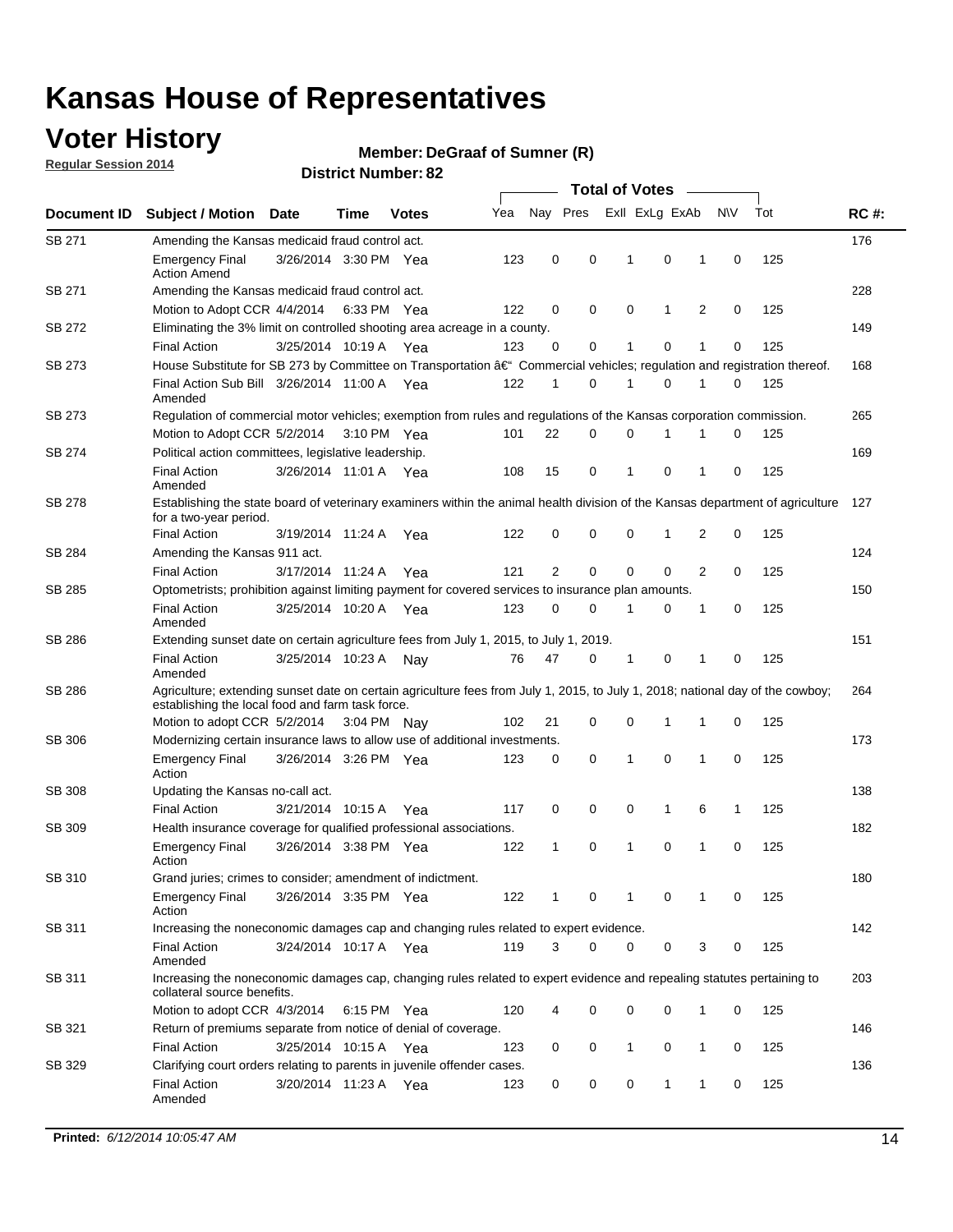### **Voter History**

**Regular Session 2014**

#### **DeGraaf of Sumner (R)**

| Nay Pres<br>Exll ExLg ExAb<br>N\V<br>Tot<br>Yea<br>Document ID<br><b>Subject / Motion Date</b><br>Time<br><b>Votes</b><br>SB 271<br>Amending the Kansas medicaid fraud control act.<br>123<br>0<br>0<br>0<br>$\mathbf 0$<br>125<br><b>Emergency Final</b><br>3/26/2014 3:30 PM Yea<br>1<br>1<br><b>Action Amend</b><br>SB 271<br>Amending the Kansas medicaid fraud control act.<br>2<br>125<br>122<br>0<br>0<br>0<br>1<br>0<br>Motion to Adopt CCR 4/4/2014 6:33 PM Yea<br>SB 272<br>Eliminating the 3% limit on controlled shooting area acreage in a county.<br>125<br>3/25/2014 10:19 A Yea<br>123<br>0<br>0<br>1<br>0<br>1<br>$\mathbf 0$<br><b>Final Action</b><br>House Substitute for SB 273 by Committee on Transportation †Commercial vehicles; regulation and registration thereof.<br>SB 273<br>Final Action Sub Bill 3/26/2014 11:00 A Yea<br>122<br>0<br>1<br>0<br>125<br>1<br>1<br>0<br>Amended<br>SB 273<br>Regulation of commercial motor vehicles; exemption from rules and regulations of the Kansas corporation commission.<br>22<br>0<br>0<br>0<br>125<br>Motion to Adopt CCR 5/2/2014 3:10 PM Yea<br>101<br>1<br>1<br>SB 274<br>Political action committees, legislative leadership.<br>15<br>0<br>0<br>125<br><b>Final Action</b><br>3/26/2014 11:01 A Yea<br>108<br>-1<br>1<br>0<br>Amended<br><b>SB 278</b><br>Establishing the state board of veterinary examiners within the animal health division of the Kansas department of agriculture<br>for a two-year period.<br><b>Final Action</b><br>122<br>0<br>0<br>0<br>125<br>3/19/2014 11:24 A<br>0<br>1<br>2<br>Yea<br>SB 284<br>Amending the Kansas 911 act.<br>$\overline{2}$<br>$\mathbf 0$<br>$\mathbf 0$<br>$\mathbf 0$<br>2<br>0<br>125<br><b>Final Action</b><br>3/17/2014 11:24 A<br>121<br>Yea<br>SB 285<br>Optometrists; prohibition against limiting payment for covered services to insurance plan amounts.<br>3/25/2014 10:20 A<br>0<br>125<br><b>Final Action</b><br>123<br>0<br>$\mathbf{1}$<br>0<br>1<br>0<br>Yea<br>Amended<br>SB 286<br>Extending sunset date on certain agriculture fees from July 1, 2015, to July 1, 2019.<br>125<br>47<br>0<br>$\mathbf{1}$<br>0<br><b>Final Action</b><br>3/25/2014 10:23 A<br>76<br>1<br>0<br>Nay<br>Amended<br>SB 286<br>Agriculture; extending sunset date on certain agriculture fees from July 1, 2015, to July 1, 2018; national day of the cowboy;<br>establishing the local food and farm task force.<br>102<br>21<br>0<br>0<br>125<br>Motion to adopt CCR 5/2/2014 3:04 PM Nav<br>1<br>1<br>0<br>SB 306<br>Modernizing certain insurance laws to allow use of additional investments.<br>$\mathbf 0$<br>3/26/2014 3:26 PM Yea<br>0<br>0<br>1<br>1<br>0<br>125<br><b>Emergency Final</b><br>123<br>Action<br><b>SB 308</b><br>Updating the Kansas no-call act.<br>0<br>0<br>0<br>$\mathbf{1}$<br>6<br>125<br><b>Final Action</b><br>3/21/2014 10:15 A<br>117<br>1<br>Yea<br>SB 309<br>Health insurance coverage for qualified professional associations.<br>0<br>125<br><b>Emergency Final</b><br>3/26/2014 3:38 PM Yea<br>122<br>1<br>0<br>1<br>1<br>0<br>Action<br>SB 310<br>Grand juries; crimes to consider; amendment of indictment.<br>3/26/2014 3:35 PM Yea<br>122<br>0<br>125<br>0<br>1<br>0<br><b>Emergency Final</b><br>1<br>1<br>Action<br>SB 311<br>Increasing the noneconomic damages cap and changing rules related to expert evidence. |             |
|--------------------------------------------------------------------------------------------------------------------------------------------------------------------------------------------------------------------------------------------------------------------------------------------------------------------------------------------------------------------------------------------------------------------------------------------------------------------------------------------------------------------------------------------------------------------------------------------------------------------------------------------------------------------------------------------------------------------------------------------------------------------------------------------------------------------------------------------------------------------------------------------------------------------------------------------------------------------------------------------------------------------------------------------------------------------------------------------------------------------------------------------------------------------------------------------------------------------------------------------------------------------------------------------------------------------------------------------------------------------------------------------------------------------------------------------------------------------------------------------------------------------------------------------------------------------------------------------------------------------------------------------------------------------------------------------------------------------------------------------------------------------------------------------------------------------------------------------------------------------------------------------------------------------------------------------------------------------------------------------------------------------------------------------------------------------------------------------------------------------------------------------------------------------------------------------------------------------------------------------------------------------------------------------------------------------------------------------------------------------------------------------------------------------------------------------------------------------------------------------------------------------------------------------------------------------------------------------------------------------------------------------------------------------------------------------------------------------------------------------------------------------------------------------------------------------------------------------------------------------------------------------------------------------------------------------------------------------------------------------------------------------------------------------------------------------------------------------------------------------------------------------------------------------------------------------------------------------------------------------------------------------------------------------------------------------------------------------------------------------------------------------------|-------------|
|                                                                                                                                                                                                                                                                                                                                                                                                                                                                                                                                                                                                                                                                                                                                                                                                                                                                                                                                                                                                                                                                                                                                                                                                                                                                                                                                                                                                                                                                                                                                                                                                                                                                                                                                                                                                                                                                                                                                                                                                                                                                                                                                                                                                                                                                                                                                                                                                                                                                                                                                                                                                                                                                                                                                                                                                                                                                                                                                                                                                                                                                                                                                                                                                                                                                                                                                                                                                  | <b>RC#:</b> |
|                                                                                                                                                                                                                                                                                                                                                                                                                                                                                                                                                                                                                                                                                                                                                                                                                                                                                                                                                                                                                                                                                                                                                                                                                                                                                                                                                                                                                                                                                                                                                                                                                                                                                                                                                                                                                                                                                                                                                                                                                                                                                                                                                                                                                                                                                                                                                                                                                                                                                                                                                                                                                                                                                                                                                                                                                                                                                                                                                                                                                                                                                                                                                                                                                                                                                                                                                                                                  | 176         |
|                                                                                                                                                                                                                                                                                                                                                                                                                                                                                                                                                                                                                                                                                                                                                                                                                                                                                                                                                                                                                                                                                                                                                                                                                                                                                                                                                                                                                                                                                                                                                                                                                                                                                                                                                                                                                                                                                                                                                                                                                                                                                                                                                                                                                                                                                                                                                                                                                                                                                                                                                                                                                                                                                                                                                                                                                                                                                                                                                                                                                                                                                                                                                                                                                                                                                                                                                                                                  |             |
|                                                                                                                                                                                                                                                                                                                                                                                                                                                                                                                                                                                                                                                                                                                                                                                                                                                                                                                                                                                                                                                                                                                                                                                                                                                                                                                                                                                                                                                                                                                                                                                                                                                                                                                                                                                                                                                                                                                                                                                                                                                                                                                                                                                                                                                                                                                                                                                                                                                                                                                                                                                                                                                                                                                                                                                                                                                                                                                                                                                                                                                                                                                                                                                                                                                                                                                                                                                                  | 228         |
|                                                                                                                                                                                                                                                                                                                                                                                                                                                                                                                                                                                                                                                                                                                                                                                                                                                                                                                                                                                                                                                                                                                                                                                                                                                                                                                                                                                                                                                                                                                                                                                                                                                                                                                                                                                                                                                                                                                                                                                                                                                                                                                                                                                                                                                                                                                                                                                                                                                                                                                                                                                                                                                                                                                                                                                                                                                                                                                                                                                                                                                                                                                                                                                                                                                                                                                                                                                                  |             |
|                                                                                                                                                                                                                                                                                                                                                                                                                                                                                                                                                                                                                                                                                                                                                                                                                                                                                                                                                                                                                                                                                                                                                                                                                                                                                                                                                                                                                                                                                                                                                                                                                                                                                                                                                                                                                                                                                                                                                                                                                                                                                                                                                                                                                                                                                                                                                                                                                                                                                                                                                                                                                                                                                                                                                                                                                                                                                                                                                                                                                                                                                                                                                                                                                                                                                                                                                                                                  | 149         |
|                                                                                                                                                                                                                                                                                                                                                                                                                                                                                                                                                                                                                                                                                                                                                                                                                                                                                                                                                                                                                                                                                                                                                                                                                                                                                                                                                                                                                                                                                                                                                                                                                                                                                                                                                                                                                                                                                                                                                                                                                                                                                                                                                                                                                                                                                                                                                                                                                                                                                                                                                                                                                                                                                                                                                                                                                                                                                                                                                                                                                                                                                                                                                                                                                                                                                                                                                                                                  |             |
|                                                                                                                                                                                                                                                                                                                                                                                                                                                                                                                                                                                                                                                                                                                                                                                                                                                                                                                                                                                                                                                                                                                                                                                                                                                                                                                                                                                                                                                                                                                                                                                                                                                                                                                                                                                                                                                                                                                                                                                                                                                                                                                                                                                                                                                                                                                                                                                                                                                                                                                                                                                                                                                                                                                                                                                                                                                                                                                                                                                                                                                                                                                                                                                                                                                                                                                                                                                                  | 168         |
|                                                                                                                                                                                                                                                                                                                                                                                                                                                                                                                                                                                                                                                                                                                                                                                                                                                                                                                                                                                                                                                                                                                                                                                                                                                                                                                                                                                                                                                                                                                                                                                                                                                                                                                                                                                                                                                                                                                                                                                                                                                                                                                                                                                                                                                                                                                                                                                                                                                                                                                                                                                                                                                                                                                                                                                                                                                                                                                                                                                                                                                                                                                                                                                                                                                                                                                                                                                                  |             |
|                                                                                                                                                                                                                                                                                                                                                                                                                                                                                                                                                                                                                                                                                                                                                                                                                                                                                                                                                                                                                                                                                                                                                                                                                                                                                                                                                                                                                                                                                                                                                                                                                                                                                                                                                                                                                                                                                                                                                                                                                                                                                                                                                                                                                                                                                                                                                                                                                                                                                                                                                                                                                                                                                                                                                                                                                                                                                                                                                                                                                                                                                                                                                                                                                                                                                                                                                                                                  | 265         |
|                                                                                                                                                                                                                                                                                                                                                                                                                                                                                                                                                                                                                                                                                                                                                                                                                                                                                                                                                                                                                                                                                                                                                                                                                                                                                                                                                                                                                                                                                                                                                                                                                                                                                                                                                                                                                                                                                                                                                                                                                                                                                                                                                                                                                                                                                                                                                                                                                                                                                                                                                                                                                                                                                                                                                                                                                                                                                                                                                                                                                                                                                                                                                                                                                                                                                                                                                                                                  |             |
|                                                                                                                                                                                                                                                                                                                                                                                                                                                                                                                                                                                                                                                                                                                                                                                                                                                                                                                                                                                                                                                                                                                                                                                                                                                                                                                                                                                                                                                                                                                                                                                                                                                                                                                                                                                                                                                                                                                                                                                                                                                                                                                                                                                                                                                                                                                                                                                                                                                                                                                                                                                                                                                                                                                                                                                                                                                                                                                                                                                                                                                                                                                                                                                                                                                                                                                                                                                                  | 169         |
|                                                                                                                                                                                                                                                                                                                                                                                                                                                                                                                                                                                                                                                                                                                                                                                                                                                                                                                                                                                                                                                                                                                                                                                                                                                                                                                                                                                                                                                                                                                                                                                                                                                                                                                                                                                                                                                                                                                                                                                                                                                                                                                                                                                                                                                                                                                                                                                                                                                                                                                                                                                                                                                                                                                                                                                                                                                                                                                                                                                                                                                                                                                                                                                                                                                                                                                                                                                                  |             |
|                                                                                                                                                                                                                                                                                                                                                                                                                                                                                                                                                                                                                                                                                                                                                                                                                                                                                                                                                                                                                                                                                                                                                                                                                                                                                                                                                                                                                                                                                                                                                                                                                                                                                                                                                                                                                                                                                                                                                                                                                                                                                                                                                                                                                                                                                                                                                                                                                                                                                                                                                                                                                                                                                                                                                                                                                                                                                                                                                                                                                                                                                                                                                                                                                                                                                                                                                                                                  | 127         |
|                                                                                                                                                                                                                                                                                                                                                                                                                                                                                                                                                                                                                                                                                                                                                                                                                                                                                                                                                                                                                                                                                                                                                                                                                                                                                                                                                                                                                                                                                                                                                                                                                                                                                                                                                                                                                                                                                                                                                                                                                                                                                                                                                                                                                                                                                                                                                                                                                                                                                                                                                                                                                                                                                                                                                                                                                                                                                                                                                                                                                                                                                                                                                                                                                                                                                                                                                                                                  |             |
|                                                                                                                                                                                                                                                                                                                                                                                                                                                                                                                                                                                                                                                                                                                                                                                                                                                                                                                                                                                                                                                                                                                                                                                                                                                                                                                                                                                                                                                                                                                                                                                                                                                                                                                                                                                                                                                                                                                                                                                                                                                                                                                                                                                                                                                                                                                                                                                                                                                                                                                                                                                                                                                                                                                                                                                                                                                                                                                                                                                                                                                                                                                                                                                                                                                                                                                                                                                                  | 124         |
|                                                                                                                                                                                                                                                                                                                                                                                                                                                                                                                                                                                                                                                                                                                                                                                                                                                                                                                                                                                                                                                                                                                                                                                                                                                                                                                                                                                                                                                                                                                                                                                                                                                                                                                                                                                                                                                                                                                                                                                                                                                                                                                                                                                                                                                                                                                                                                                                                                                                                                                                                                                                                                                                                                                                                                                                                                                                                                                                                                                                                                                                                                                                                                                                                                                                                                                                                                                                  |             |
|                                                                                                                                                                                                                                                                                                                                                                                                                                                                                                                                                                                                                                                                                                                                                                                                                                                                                                                                                                                                                                                                                                                                                                                                                                                                                                                                                                                                                                                                                                                                                                                                                                                                                                                                                                                                                                                                                                                                                                                                                                                                                                                                                                                                                                                                                                                                                                                                                                                                                                                                                                                                                                                                                                                                                                                                                                                                                                                                                                                                                                                                                                                                                                                                                                                                                                                                                                                                  | 150         |
|                                                                                                                                                                                                                                                                                                                                                                                                                                                                                                                                                                                                                                                                                                                                                                                                                                                                                                                                                                                                                                                                                                                                                                                                                                                                                                                                                                                                                                                                                                                                                                                                                                                                                                                                                                                                                                                                                                                                                                                                                                                                                                                                                                                                                                                                                                                                                                                                                                                                                                                                                                                                                                                                                                                                                                                                                                                                                                                                                                                                                                                                                                                                                                                                                                                                                                                                                                                                  |             |
|                                                                                                                                                                                                                                                                                                                                                                                                                                                                                                                                                                                                                                                                                                                                                                                                                                                                                                                                                                                                                                                                                                                                                                                                                                                                                                                                                                                                                                                                                                                                                                                                                                                                                                                                                                                                                                                                                                                                                                                                                                                                                                                                                                                                                                                                                                                                                                                                                                                                                                                                                                                                                                                                                                                                                                                                                                                                                                                                                                                                                                                                                                                                                                                                                                                                                                                                                                                                  | 151         |
|                                                                                                                                                                                                                                                                                                                                                                                                                                                                                                                                                                                                                                                                                                                                                                                                                                                                                                                                                                                                                                                                                                                                                                                                                                                                                                                                                                                                                                                                                                                                                                                                                                                                                                                                                                                                                                                                                                                                                                                                                                                                                                                                                                                                                                                                                                                                                                                                                                                                                                                                                                                                                                                                                                                                                                                                                                                                                                                                                                                                                                                                                                                                                                                                                                                                                                                                                                                                  |             |
|                                                                                                                                                                                                                                                                                                                                                                                                                                                                                                                                                                                                                                                                                                                                                                                                                                                                                                                                                                                                                                                                                                                                                                                                                                                                                                                                                                                                                                                                                                                                                                                                                                                                                                                                                                                                                                                                                                                                                                                                                                                                                                                                                                                                                                                                                                                                                                                                                                                                                                                                                                                                                                                                                                                                                                                                                                                                                                                                                                                                                                                                                                                                                                                                                                                                                                                                                                                                  | 264         |
|                                                                                                                                                                                                                                                                                                                                                                                                                                                                                                                                                                                                                                                                                                                                                                                                                                                                                                                                                                                                                                                                                                                                                                                                                                                                                                                                                                                                                                                                                                                                                                                                                                                                                                                                                                                                                                                                                                                                                                                                                                                                                                                                                                                                                                                                                                                                                                                                                                                                                                                                                                                                                                                                                                                                                                                                                                                                                                                                                                                                                                                                                                                                                                                                                                                                                                                                                                                                  |             |
|                                                                                                                                                                                                                                                                                                                                                                                                                                                                                                                                                                                                                                                                                                                                                                                                                                                                                                                                                                                                                                                                                                                                                                                                                                                                                                                                                                                                                                                                                                                                                                                                                                                                                                                                                                                                                                                                                                                                                                                                                                                                                                                                                                                                                                                                                                                                                                                                                                                                                                                                                                                                                                                                                                                                                                                                                                                                                                                                                                                                                                                                                                                                                                                                                                                                                                                                                                                                  | 173         |
|                                                                                                                                                                                                                                                                                                                                                                                                                                                                                                                                                                                                                                                                                                                                                                                                                                                                                                                                                                                                                                                                                                                                                                                                                                                                                                                                                                                                                                                                                                                                                                                                                                                                                                                                                                                                                                                                                                                                                                                                                                                                                                                                                                                                                                                                                                                                                                                                                                                                                                                                                                                                                                                                                                                                                                                                                                                                                                                                                                                                                                                                                                                                                                                                                                                                                                                                                                                                  |             |
|                                                                                                                                                                                                                                                                                                                                                                                                                                                                                                                                                                                                                                                                                                                                                                                                                                                                                                                                                                                                                                                                                                                                                                                                                                                                                                                                                                                                                                                                                                                                                                                                                                                                                                                                                                                                                                                                                                                                                                                                                                                                                                                                                                                                                                                                                                                                                                                                                                                                                                                                                                                                                                                                                                                                                                                                                                                                                                                                                                                                                                                                                                                                                                                                                                                                                                                                                                                                  | 138         |
|                                                                                                                                                                                                                                                                                                                                                                                                                                                                                                                                                                                                                                                                                                                                                                                                                                                                                                                                                                                                                                                                                                                                                                                                                                                                                                                                                                                                                                                                                                                                                                                                                                                                                                                                                                                                                                                                                                                                                                                                                                                                                                                                                                                                                                                                                                                                                                                                                                                                                                                                                                                                                                                                                                                                                                                                                                                                                                                                                                                                                                                                                                                                                                                                                                                                                                                                                                                                  |             |
|                                                                                                                                                                                                                                                                                                                                                                                                                                                                                                                                                                                                                                                                                                                                                                                                                                                                                                                                                                                                                                                                                                                                                                                                                                                                                                                                                                                                                                                                                                                                                                                                                                                                                                                                                                                                                                                                                                                                                                                                                                                                                                                                                                                                                                                                                                                                                                                                                                                                                                                                                                                                                                                                                                                                                                                                                                                                                                                                                                                                                                                                                                                                                                                                                                                                                                                                                                                                  | 182         |
|                                                                                                                                                                                                                                                                                                                                                                                                                                                                                                                                                                                                                                                                                                                                                                                                                                                                                                                                                                                                                                                                                                                                                                                                                                                                                                                                                                                                                                                                                                                                                                                                                                                                                                                                                                                                                                                                                                                                                                                                                                                                                                                                                                                                                                                                                                                                                                                                                                                                                                                                                                                                                                                                                                                                                                                                                                                                                                                                                                                                                                                                                                                                                                                                                                                                                                                                                                                                  |             |
|                                                                                                                                                                                                                                                                                                                                                                                                                                                                                                                                                                                                                                                                                                                                                                                                                                                                                                                                                                                                                                                                                                                                                                                                                                                                                                                                                                                                                                                                                                                                                                                                                                                                                                                                                                                                                                                                                                                                                                                                                                                                                                                                                                                                                                                                                                                                                                                                                                                                                                                                                                                                                                                                                                                                                                                                                                                                                                                                                                                                                                                                                                                                                                                                                                                                                                                                                                                                  | 180         |
|                                                                                                                                                                                                                                                                                                                                                                                                                                                                                                                                                                                                                                                                                                                                                                                                                                                                                                                                                                                                                                                                                                                                                                                                                                                                                                                                                                                                                                                                                                                                                                                                                                                                                                                                                                                                                                                                                                                                                                                                                                                                                                                                                                                                                                                                                                                                                                                                                                                                                                                                                                                                                                                                                                                                                                                                                                                                                                                                                                                                                                                                                                                                                                                                                                                                                                                                                                                                  |             |
|                                                                                                                                                                                                                                                                                                                                                                                                                                                                                                                                                                                                                                                                                                                                                                                                                                                                                                                                                                                                                                                                                                                                                                                                                                                                                                                                                                                                                                                                                                                                                                                                                                                                                                                                                                                                                                                                                                                                                                                                                                                                                                                                                                                                                                                                                                                                                                                                                                                                                                                                                                                                                                                                                                                                                                                                                                                                                                                                                                                                                                                                                                                                                                                                                                                                                                                                                                                                  | 142         |
| 119<br>3<br>$\Omega$<br>0<br>3<br>125<br><b>Final Action</b><br>3/24/2014 10:17 A Yea<br>0<br>0<br>Amended                                                                                                                                                                                                                                                                                                                                                                                                                                                                                                                                                                                                                                                                                                                                                                                                                                                                                                                                                                                                                                                                                                                                                                                                                                                                                                                                                                                                                                                                                                                                                                                                                                                                                                                                                                                                                                                                                                                                                                                                                                                                                                                                                                                                                                                                                                                                                                                                                                                                                                                                                                                                                                                                                                                                                                                                                                                                                                                                                                                                                                                                                                                                                                                                                                                                                       |             |
| SB 311<br>Increasing the noneconomic damages cap, changing rules related to expert evidence and repealing statutes pertaining to<br>collateral source benefits.                                                                                                                                                                                                                                                                                                                                                                                                                                                                                                                                                                                                                                                                                                                                                                                                                                                                                                                                                                                                                                                                                                                                                                                                                                                                                                                                                                                                                                                                                                                                                                                                                                                                                                                                                                                                                                                                                                                                                                                                                                                                                                                                                                                                                                                                                                                                                                                                                                                                                                                                                                                                                                                                                                                                                                                                                                                                                                                                                                                                                                                                                                                                                                                                                                  | 203         |
| Motion to adopt CCR 4/3/2014 6:15 PM Yea<br>120<br>0<br>0<br>0<br>1<br>0<br>125<br>4                                                                                                                                                                                                                                                                                                                                                                                                                                                                                                                                                                                                                                                                                                                                                                                                                                                                                                                                                                                                                                                                                                                                                                                                                                                                                                                                                                                                                                                                                                                                                                                                                                                                                                                                                                                                                                                                                                                                                                                                                                                                                                                                                                                                                                                                                                                                                                                                                                                                                                                                                                                                                                                                                                                                                                                                                                                                                                                                                                                                                                                                                                                                                                                                                                                                                                             |             |
| SB 321<br>Return of premiums separate from notice of denial of coverage.                                                                                                                                                                                                                                                                                                                                                                                                                                                                                                                                                                                                                                                                                                                                                                                                                                                                                                                                                                                                                                                                                                                                                                                                                                                                                                                                                                                                                                                                                                                                                                                                                                                                                                                                                                                                                                                                                                                                                                                                                                                                                                                                                                                                                                                                                                                                                                                                                                                                                                                                                                                                                                                                                                                                                                                                                                                                                                                                                                                                                                                                                                                                                                                                                                                                                                                         | 146         |
| 3/25/2014 10:15 A Yea<br><b>Final Action</b><br>123<br>0<br>0<br>1<br>0<br>1<br>0<br>125                                                                                                                                                                                                                                                                                                                                                                                                                                                                                                                                                                                                                                                                                                                                                                                                                                                                                                                                                                                                                                                                                                                                                                                                                                                                                                                                                                                                                                                                                                                                                                                                                                                                                                                                                                                                                                                                                                                                                                                                                                                                                                                                                                                                                                                                                                                                                                                                                                                                                                                                                                                                                                                                                                                                                                                                                                                                                                                                                                                                                                                                                                                                                                                                                                                                                                         |             |
| SB 329<br>Clarifying court orders relating to parents in juvenile offender cases.<br>3/20/2014 11:23 A Yea<br>125<br><b>Final Action</b><br>123<br>0<br>0<br>0<br>1<br>1<br>0<br>Amended                                                                                                                                                                                                                                                                                                                                                                                                                                                                                                                                                                                                                                                                                                                                                                                                                                                                                                                                                                                                                                                                                                                                                                                                                                                                                                                                                                                                                                                                                                                                                                                                                                                                                                                                                                                                                                                                                                                                                                                                                                                                                                                                                                                                                                                                                                                                                                                                                                                                                                                                                                                                                                                                                                                                                                                                                                                                                                                                                                                                                                                                                                                                                                                                         | 136         |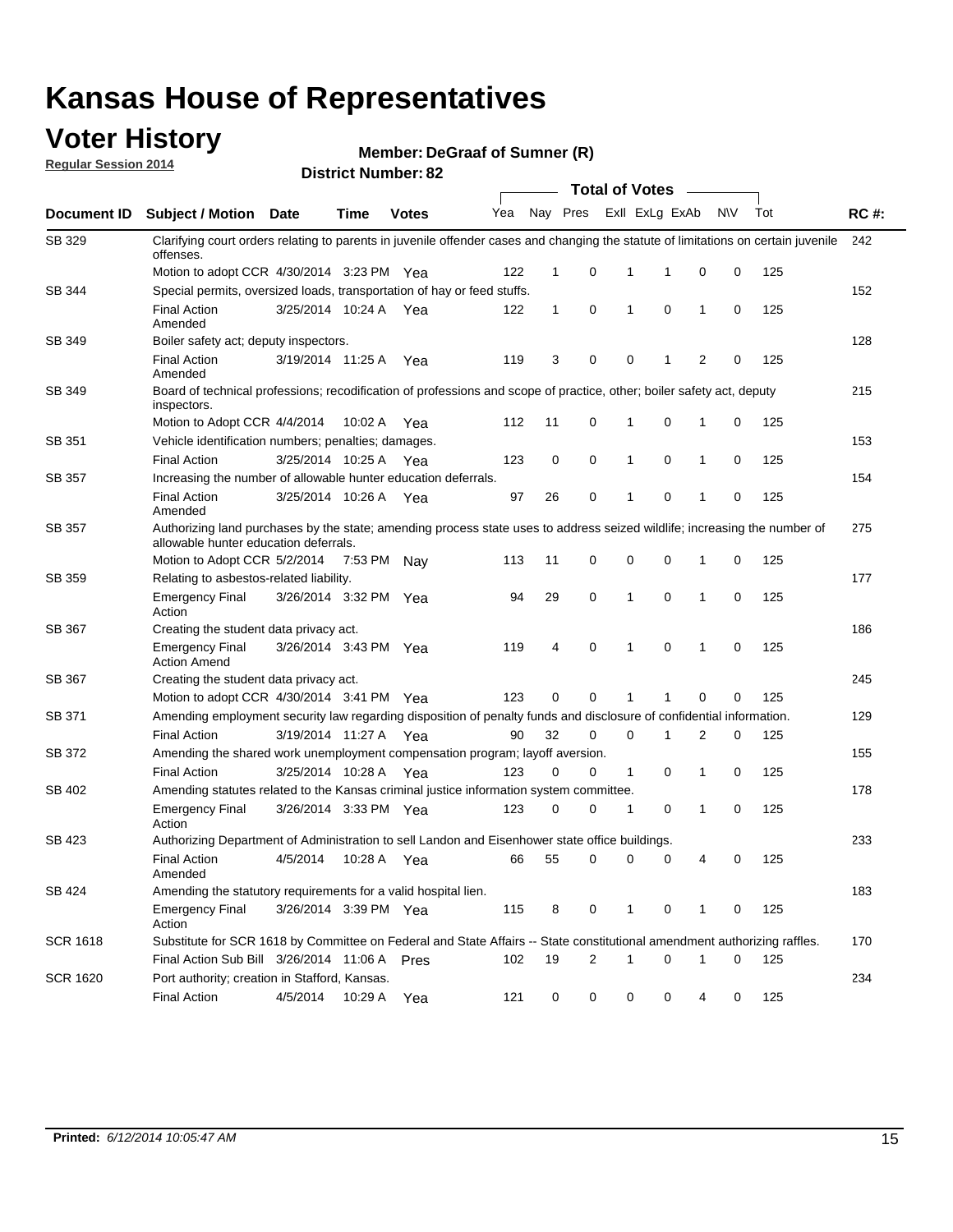### **Voter History**

**Regular Session 2014**

**DeGraaf of Sumner (R)**

|                    |                                                                                                                                                                    |                       |             |              |     |              |   | <b>Total of Votes</b> |                |              |           |     |             |
|--------------------|--------------------------------------------------------------------------------------------------------------------------------------------------------------------|-----------------------|-------------|--------------|-----|--------------|---|-----------------------|----------------|--------------|-----------|-----|-------------|
| <b>Document ID</b> | <b>Subject / Motion Date</b>                                                                                                                                       |                       | Time        | <b>Votes</b> | Yea | Nay Pres     |   |                       | Exll ExLg ExAb |              | <b>NV</b> | Tot | <b>RC#:</b> |
| SB 329             | Clarifying court orders relating to parents in juvenile offender cases and changing the statute of limitations on certain juvenile<br>offenses.                    |                       |             |              |     |              |   |                       |                |              |           |     | 242         |
|                    | Motion to adopt CCR 4/30/2014 3:23 PM Yea                                                                                                                          |                       |             |              | 122 | 1            | 0 | 1                     | 1              | 0            | 0         | 125 |             |
| <b>SB 344</b>      | Special permits, oversized loads, transportation of hay or feed stuffs.                                                                                            |                       |             |              |     |              |   |                       |                |              |           |     | 152         |
|                    | <b>Final Action</b><br>Amended                                                                                                                                     | 3/25/2014 10:24 A     |             | Yea          | 122 | $\mathbf{1}$ | 0 | 1                     | $\mathbf 0$    | 1            | 0         | 125 |             |
| SB 349             | Boiler safety act; deputy inspectors.                                                                                                                              |                       |             |              |     |              |   |                       |                |              |           |     | 128         |
|                    | <b>Final Action</b><br>Amended                                                                                                                                     | 3/19/2014 11:25 A     |             | Yea          | 119 | 3            | 0 | 0                     | 1              | 2            | 0         | 125 |             |
| SB 349             | Board of technical professions; recodification of professions and scope of practice, other; boiler safety act, deputy<br>inspectors.                               |                       |             |              |     |              |   |                       |                |              |           |     | 215         |
|                    | Motion to Adopt CCR 4/4/2014                                                                                                                                       |                       | 10:02 A     | Yea          | 112 | 11           | 0 | 1                     | 0              | 1            | 0         | 125 |             |
| SB 351             | Vehicle identification numbers; penalties; damages.                                                                                                                |                       |             |              |     |              |   |                       |                |              |           |     | 153         |
|                    | <b>Final Action</b>                                                                                                                                                | 3/25/2014 10:25 A     |             | Yea          | 123 | 0            | 0 | 1                     | 0              | 1            | 0         | 125 |             |
| SB 357             | Increasing the number of allowable hunter education deferrals.                                                                                                     |                       |             |              |     |              |   |                       |                |              |           |     | 154         |
|                    | <b>Final Action</b><br>Amended                                                                                                                                     | 3/25/2014 10:26 A     |             | Yea          | 97  | 26           | 0 | 1                     | 0              | 1            | 0         | 125 |             |
| SB 357             | Authorizing land purchases by the state; amending process state uses to address seized wildlife; increasing the number of<br>allowable hunter education deferrals. |                       |             |              |     |              |   |                       |                |              |           |     | 275         |
|                    | Motion to Adopt CCR 5/2/2014                                                                                                                                       |                       | 7:53 PM Nay |              | 113 | 11           | 0 | 0                     | $\mathbf 0$    | 1            | 0         | 125 |             |
| SB 359             | Relating to asbestos-related liability.                                                                                                                            |                       |             |              |     |              |   |                       |                |              |           |     | 177         |
|                    | <b>Emergency Final</b><br>Action                                                                                                                                   | 3/26/2014 3:32 PM Yea |             |              | 94  | 29           | 0 | 1                     | $\mathbf 0$    | 1            | 0         | 125 |             |
| <b>SB 367</b>      | Creating the student data privacy act.                                                                                                                             |                       |             |              |     |              |   |                       |                |              |           |     | 186         |
|                    | <b>Emergency Final</b><br><b>Action Amend</b>                                                                                                                      | 3/26/2014 3:43 PM Yea |             |              | 119 | 4            | 0 | 1                     | $\mathbf 0$    | $\mathbf{1}$ | 0         | 125 |             |
| SB 367             | Creating the student data privacy act.                                                                                                                             |                       |             |              |     |              |   |                       |                |              |           |     | 245         |
|                    | Motion to adopt CCR 4/30/2014 3:41 PM Yea                                                                                                                          |                       |             |              | 123 | 0            | 0 | 1                     |                | $\mathbf 0$  | 0         | 125 |             |
| SB 371             | Amending employment security law regarding disposition of penalty funds and disclosure of confidential information.                                                |                       |             |              |     |              |   |                       |                |              |           |     | 129         |
|                    | <b>Final Action</b>                                                                                                                                                | 3/19/2014 11:27 A     |             | Yea          | 90  | 32           | 0 | $\mathbf 0$           | 1              | 2            | 0         | 125 |             |
| <b>SB 372</b>      | Amending the shared work unemployment compensation program; layoff aversion.                                                                                       |                       |             |              |     |              |   |                       |                |              |           |     | 155         |
|                    | <b>Final Action</b>                                                                                                                                                | 3/25/2014 10:28 A     |             | Yea          | 123 | 0            | 0 | 1                     | 0              | 1            | 0         | 125 |             |
| SB 402             | Amending statutes related to the Kansas criminal justice information system committee.                                                                             |                       |             |              |     |              |   |                       |                |              |           |     | 178         |
|                    | <b>Emergency Final</b><br>Action                                                                                                                                   | 3/26/2014 3:33 PM Yea |             |              | 123 | 0            | 0 | 1                     | 0              | 1            | 0         | 125 |             |
| SB 423             | Authorizing Department of Administration to sell Landon and Eisenhower state office buildings.                                                                     |                       |             |              |     |              |   |                       |                |              |           |     | 233         |
|                    | <b>Final Action</b><br>Amended                                                                                                                                     | 4/5/2014              | 10:28 A     | Yea          | 66  | 55           | 0 | 0                     | 0              | 4            | 0         | 125 |             |
| SB 424             | Amending the statutory requirements for a valid hospital lien.                                                                                                     |                       |             |              |     |              |   |                       |                |              |           |     | 183         |
|                    | <b>Emergency Final</b><br>Action                                                                                                                                   | 3/26/2014 3:39 PM Yea |             |              | 115 | 8            | 0 | 1                     | 0              | 1            | 0         | 125 |             |
| SCR 1618           | Substitute for SCR 1618 by Committee on Federal and State Affairs -- State constitutional amendment authorizing raffles.                                           |                       |             |              |     |              |   |                       |                |              |           |     | 170         |
|                    | Final Action Sub Bill 3/26/2014 11:06 A Pres                                                                                                                       |                       |             |              | 102 | 19           | 2 | 1                     | $\mathbf 0$    | 1            | 0         | 125 |             |
| SCR 1620           | Port authority; creation in Stafford, Kansas.                                                                                                                      |                       |             |              |     |              |   |                       |                |              |           |     | 234         |
|                    | <b>Final Action</b>                                                                                                                                                | 4/5/2014              | 10:29 A     | Yea          | 121 | 0            | 0 | 0                     | 0              | 4            | 0         | 125 |             |